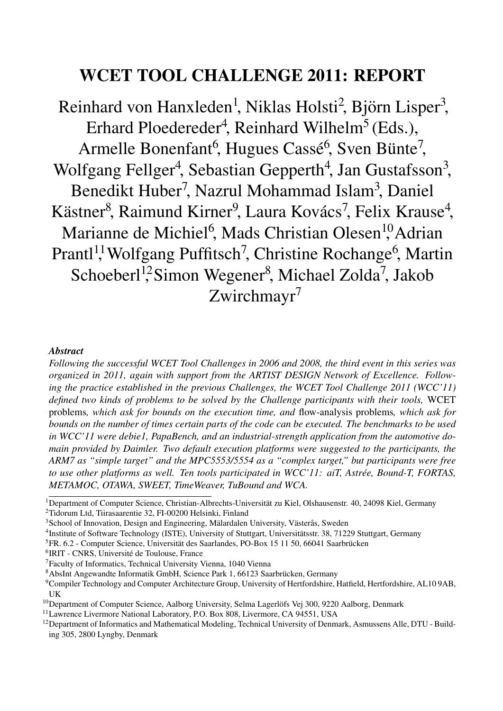# WCET TOOL CHALLENGE 2011: REPORT

Reinhard von Hanxleden<sup>1</sup>, Niklas Holsti<sup>2</sup>, Björn Lisper<sup>3</sup>, Erhard Ploedereder<sup>4</sup>, Reinhard Wilhelm<sup>5</sup> (Eds.), Armelle Bonenfant<sup>6</sup>, Hugues Cassé<sup>6</sup>, Sven Bünte<sup>7</sup>, Wolfgang Fellger<sup>4</sup>, Sebastian Gepperth<sup>4</sup>, Jan Gustafsson<sup>3</sup>, Benedikt Huber<sup>7</sup>, Nazrul Mohammad Islam<sup>3</sup>, Daniel Kästner<sup>8</sup>, Raimund Kirner<sup>9</sup>, Laura Kovács<sup>7</sup>, Felix Krause<sup>4</sup>, Marianne de Michiel<sup>6</sup>, Mads Christian Olesen<sup>10</sup>Adrian Prantl<sup>11</sup>, Wolfgang Puffitsch<sup>7</sup>, Christine Rochange<sup>6</sup>, Martin Schoeberl<sup>12</sup>Simon Wegener<sup>8</sup>, Michael Zolda<sup>7</sup>, Jakob Zwirchmayr<sup>7</sup>

#### *Abstract*

*Following the successful WCET Tool Challenges in 2006 and 2008, the third event in this series was organized in 2011, again with support from the ARTIST DESIGN Network of Excellence. Following the practice established in the previous Challenges, the WCET Tool Challenge 2011 (WCC'11) defined two kinds of problems to be solved by the Challenge participants with their tools,* WCET problems*, which ask for bounds on the execution time, and* flow-analysis problems*, which ask for bounds on the number of times certain parts of the code can be executed. The benchmarks to be used in WCC'11 were debie1, PapaBench, and an industrial-strength application from the automotive domain provided by Daimler. Two default execution platforms were suggested to the participants, the ARM7 as "simple target" and the MPC5553/5554 as a "complex target," but participants were free to use other platforms as well. Ten tools participated in WCC'11: aiT, Astree, Bound-T, FORTAS, ´ METAMOC, OTAWA, SWEET, TimeWeaver, TuBound and WCA.*

<sup>6</sup>IRIT - CNRS, Université de Toulouse, France

<sup>&</sup>lt;sup>1</sup>Department of Computer Science, Christian-Albrechts-Universität zu Kiel, Olshausenstr. 40, 24098 Kiel, Germany 2Tidorum Ltd, Tiirasaarentie 32, FI-00200 Helsinki, Finland

 $3$ School of Innovation, Design and Engineering, Mälardalen University, Västerås, Sweden

<sup>4</sup>Institute of Software Technology (ISTE), University of Stuttgart, Universitatsstr. 38, 71229 Stuttgart, Germany ¨

 ${}^{5}$ FR. 6.2 - Computer Science, Universität des Saarlandes, PO-Box 15 11 50, 66041 Saarbrücken

<sup>7</sup>Faculty of Informatics, Technical University Vienna, 1040 Vienna

<sup>&</sup>lt;sup>8</sup>AbsInt Angewandte Informatik GmbH, Science Park 1, 66123 Saarbrücken, Germany

<sup>9</sup>Compiler Technology and Computer Architecture Group, University of Hertfordshire, Hatfield, Hertfordshire, AL10 9AB, UK

 $10$ Department of Computer Science, Aalborg University, Selma Lagerlöfs Vej 300, 9220 Aalborg, Denmark

<sup>&</sup>lt;sup>11</sup>Lawrence Livermore National Laboratory, P.O. Box 808, Livermore, CA 94551, USA

 $12$ Department of Informatics and Mathematical Modeling, Technical University of Denmark, Asmussens Alle, DTU - Building 305, 2800 Lyngby, Denmark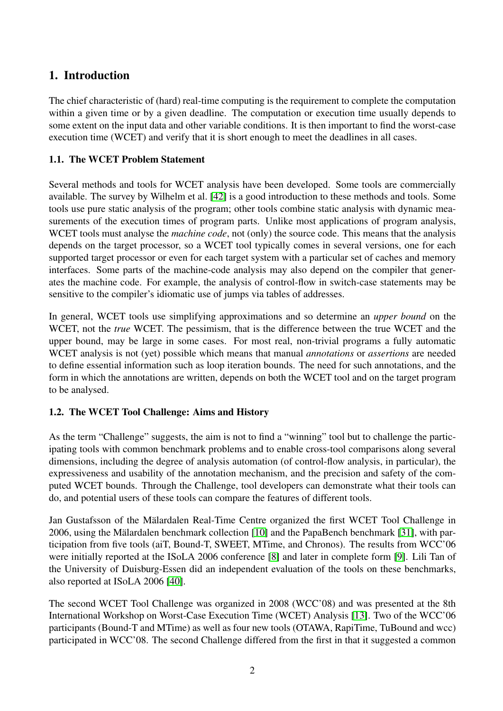## 1. Introduction

The chief characteristic of (hard) real-time computing is the requirement to complete the computation within a given time or by a given deadline. The computation or execution time usually depends to some extent on the input data and other variable conditions. It is then important to find the worst-case execution time (WCET) and verify that it is short enough to meet the deadlines in all cases.

## 1.1. The WCET Problem Statement

Several methods and tools for WCET analysis have been developed. Some tools are commercially available. The survey by Wilhelm et al. [\[42\]](#page-37-0) is a good introduction to these methods and tools. Some tools use pure static analysis of the program; other tools combine static analysis with dynamic measurements of the execution times of program parts. Unlike most applications of program analysis, WCET tools must analyse the *machine code*, not (only) the source code. This means that the analysis depends on the target processor, so a WCET tool typically comes in several versions, one for each supported target processor or even for each target system with a particular set of caches and memory interfaces. Some parts of the machine-code analysis may also depend on the compiler that generates the machine code. For example, the analysis of control-flow in switch-case statements may be sensitive to the compiler's idiomatic use of jumps via tables of addresses.

In general, WCET tools use simplifying approximations and so determine an *upper bound* on the WCET, not the *true* WCET. The pessimism, that is the difference between the true WCET and the upper bound, may be large in some cases. For most real, non-trivial programs a fully automatic WCET analysis is not (yet) possible which means that manual *annotations* or *assertions* are needed to define essential information such as loop iteration bounds. The need for such annotations, and the form in which the annotations are written, depends on both the WCET tool and on the target program to be analysed.

## 1.2. The WCET Tool Challenge: Aims and History

As the term "Challenge" suggests, the aim is not to find a "winning" tool but to challenge the participating tools with common benchmark problems and to enable cross-tool comparisons along several dimensions, including the degree of analysis automation (of control-flow analysis, in particular), the expressiveness and usability of the annotation mechanism, and the precision and safety of the computed WCET bounds. Through the Challenge, tool developers can demonstrate what their tools can do, and potential users of these tools can compare the features of different tools.

Jan Gustafsson of the Mälardalen Real-Time Centre organized the first WCET Tool Challenge in 2006, using the Mälardalen benchmark collection [\[10\]](#page-34-0) and the PapaBench benchmark [\[31\]](#page-36-0), with participation from five tools (aiT, Bound-T, SWEET, MTime, and Chronos). The results from WCC'06 were initially reported at the ISoLA 2006 conference [\[8\]](#page-34-1) and later in complete form [\[9\]](#page-34-2). Lili Tan of the University of Duisburg-Essen did an independent evaluation of the tools on these benchmarks, also reported at ISoLA 2006 [\[40\]](#page-37-1).

The second WCET Tool Challenge was organized in 2008 (WCC'08) and was presented at the 8th International Workshop on Worst-Case Execution Time (WCET) Analysis [\[13\]](#page-35-0). Two of the WCC'06 participants (Bound-T and MTime) as well as four new tools (OTAWA, RapiTime, TuBound and wcc) participated in WCC'08. The second Challenge differed from the first in that it suggested a common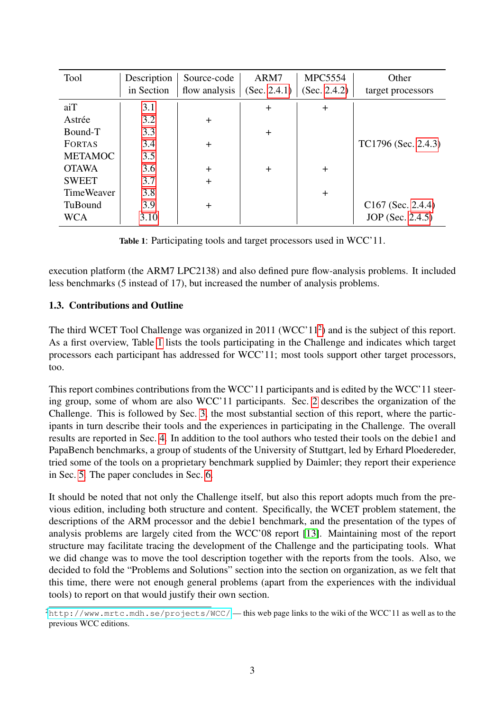<span id="page-2-1"></span>

| Tool              | Description | Source-code   | ARM7         | <b>MPC5554</b> | Other               |
|-------------------|-------------|---------------|--------------|----------------|---------------------|
|                   | in Section  | flow analysis | (Sec. 2.4.1) | (Sec. 2.4.2)   | target processors   |
| aiT               | 3.1         |               | $+$          | $\ddot{}$      |                     |
| Astrée            | 3.2         | $+$           |              |                |                     |
| Bound-T           | 3.3         |               | $+$          |                |                     |
| <b>FORTAS</b>     | 3.4         | $+$           |              |                | TC1796 (Sec. 2.4.3) |
| <b>METAMOC</b>    | 3.5         |               |              |                |                     |
| <b>OTAWA</b>      | 3.6         | $+$           | $+$          | $\ddot{}$      |                     |
| <b>SWEET</b>      | 3.7         | $+$           |              |                |                     |
| <b>TimeWeaver</b> | 3.8         |               |              | $\pm$          |                     |
| TuBound           | 3.9         | $+$           |              |                | $C167$ (Sec. 2.4.4) |
| WCA               | 3.10        |               |              |                | JOP (Sec. 2.4.5)    |

Table 1: Participating tools and target processors used in WCC'11.

execution platform (the ARM7 LPC2138) and also defined pure flow-analysis problems. It included less benchmarks (5 instead of 17), but increased the number of analysis problems.

## 1.3. Contributions and Outline

The third WCET Tool Challenge was organized in 2011 (WCC'11<sup>2</sup>) and is the subject of this report. As a first overview, Table [1](#page-2-1) lists the tools participating in the Challenge and indicates which target processors each participant has addressed for WCC'11; most tools support other target processors, too.

This report combines contributions from the WCC'11 participants and is edited by the WCC'11 steering group, some of whom are also WCC'11 participants. Sec. [2](#page-3-0) describes the organization of the Challenge. This is followed by Sec. [3,](#page-10-1) the most substantial section of this report, where the participants in turn describe their tools and the experiences in participating in the Challenge. The overall results are reported in Sec. [4.](#page-29-0) In addition to the tool authors who tested their tools on the debie1 and PapaBench benchmarks, a group of students of the University of Stuttgart, led by Erhard Ploedereder, tried some of the tools on a proprietary benchmark supplied by Daimler; they report their experience in Sec. [5.](#page-29-1) The paper concludes in Sec. [6.](#page-32-0)

It should be noted that not only the Challenge itself, but also this report adopts much from the previous edition, including both structure and content. Specifically, the WCET problem statement, the descriptions of the ARM processor and the debie1 benchmark, and the presentation of the types of analysis problems are largely cited from the WCC'08 report [\[13\]](#page-35-0). Maintaining most of the report structure may facilitate tracing the development of the Challenge and the participating tools. What we did change was to move the tool description together with the reports from the tools. Also, we decided to fold the "Problems and Solutions" section into the section on organization, as we felt that this time, there were not enough general problems (apart from the experiences with the individual tools) to report on that would justify their own section.

<span id="page-2-0"></span><sup>2</sup><http://www.mrtc.mdh.se/projects/WCC/> — this web page links to the wiki of the WCC'11 as well as to the previous WCC editions.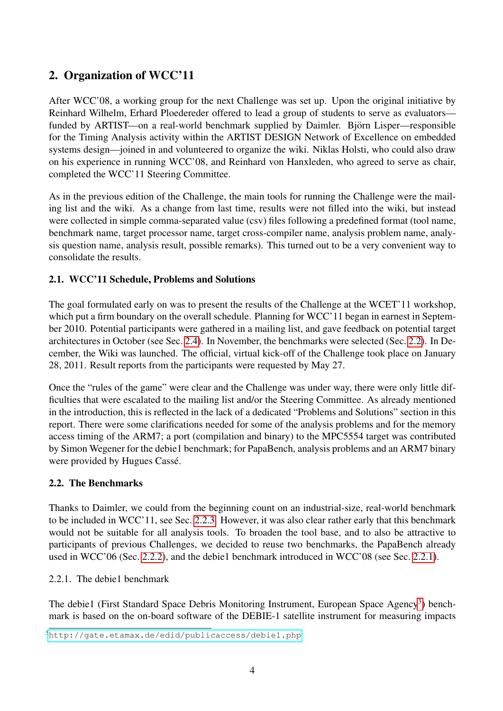## <span id="page-3-0"></span>2. Organization of WCC'11

After WCC'08, a working group for the next Challenge was set up. Upon the original initiative by Reinhard Wilhelm, Erhard Ploedereder offered to lead a group of students to serve as evaluators funded by ARTIST—on a real-world benchmark supplied by Daimler. Björn Lisper—responsible for the Timing Analysis activity within the ARTIST DESIGN Network of Excellence on embedded systems design—joined in and volunteered to organize the wiki. Niklas Holsti, who could also draw on his experience in running WCC'08, and Reinhard von Hanxleden, who agreed to serve as chair, completed the WCC'11 Steering Committee.

As in the previous edition of the Challenge, the main tools for running the Challenge were the mailing list and the wiki. As a change from last time, results were not filled into the wiki, but instead were collected in simple comma-separated value (csv) files following a predefined format (tool name, benchmark name, target processor name, target cross-compiler name, analysis problem name, analysis question name, analysis result, possible remarks). This turned out to be a very convenient way to consolidate the results.

## 2.1. WCC'11 Schedule, Problems and Solutions

The goal formulated early on was to present the results of the Challenge at the WCET'11 workshop, which put a firm boundary on the overall schedule. Planning for WCC'11 began in earnest in September 2010. Potential participants were gathered in a mailing list, and gave feedback on potential target architectures in October (see Sec. [2.4\)](#page-6-1). In November, the benchmarks were selected (Sec. [2.2\)](#page-3-1). In December, the Wiki was launched. The official, virtual kick-off of the Challenge took place on January 28, 2011. Result reports from the participants were requested by May 27.

Once the "rules of the game" were clear and the Challenge was under way, there were only little difficulties that were escalated to the mailing list and/or the Steering Committee. As already mentioned in the introduction, this is reflected in the lack of a dedicated "Problems and Solutions" section in this report. There were some clarifications needed for some of the analysis problems and for the memory access timing of the ARM7; a port (compilation and binary) to the MPC5554 target was contributed by Simon Wegener for the debie1 benchmark; for PapaBench, analysis problems and an ARM7 binary were provided by Hugues Cassé.

## <span id="page-3-1"></span>2.2. The Benchmarks

Thanks to Daimler, we could from the beginning count on an industrial-size, real-world benchmark to be included in WCC'11, see Sec. [2.2.3.](#page-5-0) However, it was also clear rather early that this benchmark would not be suitable for all analysis tools. To broaden the tool base, and to also be attractive to participants of previous Challenges, we decided to reuse two benchmarks, the PapaBench already used in WCC'06 (Sec. [2.2.2\)](#page-4-0), and the debie1 benchmark introduced in WCC'08 (see Sec. [2.2.1\)](#page-3-2).

## <span id="page-3-2"></span>2.2.1. The debie1 benchmark

The debie1 (First Standard Space Debris Monitoring Instrument, European Space Agency<sup>3</sup>) benchmark is based on the on-board software of the DEBIE-1 satellite instrument for measuring impacts

<span id="page-3-3"></span><sup>3</sup><http://gate.etamax.de/edid/publicaccess/debie1.php>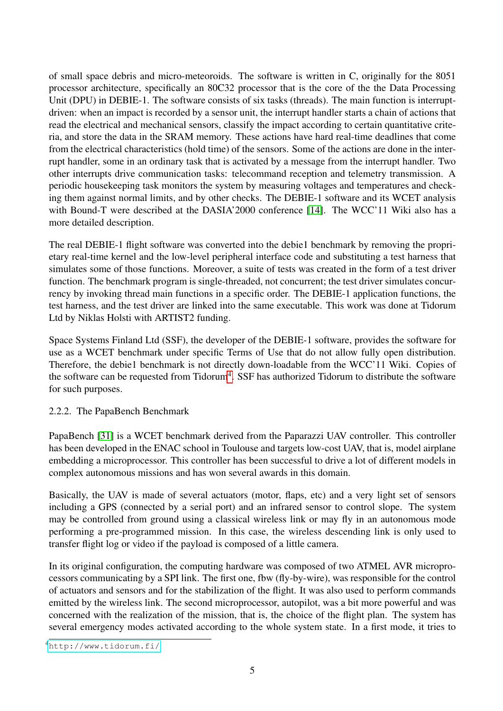of small space debris and micro-meteoroids. The software is written in C, originally for the 8051 processor architecture, specifically an 80C32 processor that is the core of the the Data Processing Unit (DPU) in DEBIE-1. The software consists of six tasks (threads). The main function is interruptdriven: when an impact is recorded by a sensor unit, the interrupt handler starts a chain of actions that read the electrical and mechanical sensors, classify the impact according to certain quantitative criteria, and store the data in the SRAM memory. These actions have hard real-time deadlines that come from the electrical characteristics (hold time) of the sensors. Some of the actions are done in the interrupt handler, some in an ordinary task that is activated by a message from the interrupt handler. Two other interrupts drive communication tasks: telecommand reception and telemetry transmission. A periodic housekeeping task monitors the system by measuring voltages and temperatures and checking them against normal limits, and by other checks. The DEBIE-1 software and its WCET analysis with Bound-T were described at the DASIA'2000 conference [\[14\]](#page-35-1). The WCC'11 Wiki also has a more detailed description.

The real DEBIE-1 flight software was converted into the debie1 benchmark by removing the proprietary real-time kernel and the low-level peripheral interface code and substituting a test harness that simulates some of those functions. Moreover, a suite of tests was created in the form of a test driver function. The benchmark program is single-threaded, not concurrent; the test driver simulates concurrency by invoking thread main functions in a specific order. The DEBIE-1 application functions, the test harness, and the test driver are linked into the same executable. This work was done at Tidorum Ltd by Niklas Holsti with ARTIST2 funding.

Space Systems Finland Ltd (SSF), the developer of the DEBIE-1 software, provides the software for use as a WCET benchmark under specific Terms of Use that do not allow fully open distribution. Therefore, the debie1 benchmark is not directly down-loadable from the WCC'11 Wiki. Copies of the software can be requested from Tidorum<sup>4</sup>. SSF has authorized Tidorum to distribute the software for such purposes.

<span id="page-4-0"></span>2.2.2. The PapaBench Benchmark

PapaBench [\[31\]](#page-36-0) is a WCET benchmark derived from the Paparazzi UAV controller. This controller has been developed in the ENAC school in Toulouse and targets low-cost UAV, that is, model airplane embedding a microprocessor. This controller has been successful to drive a lot of different models in complex autonomous missions and has won several awards in this domain.

Basically, the UAV is made of several actuators (motor, flaps, etc) and a very light set of sensors including a GPS (connected by a serial port) and an infrared sensor to control slope. The system may be controlled from ground using a classical wireless link or may fly in an autonomous mode performing a pre-programmed mission. In this case, the wireless descending link is only used to transfer flight log or video if the payload is composed of a little camera.

In its original configuration, the computing hardware was composed of two ATMEL AVR microprocessors communicating by a SPI link. The first one, fbw (fly-by-wire), was responsible for the control of actuators and sensors and for the stabilization of the flight. It was also used to perform commands emitted by the wireless link. The second microprocessor, autopilot, was a bit more powerful and was concerned with the realization of the mission, that is, the choice of the flight plan. The system has several emergency modes activated according to the whole system state. In a first mode, it tries to

<span id="page-4-1"></span><sup>4</sup><http://www.tidorum.fi/>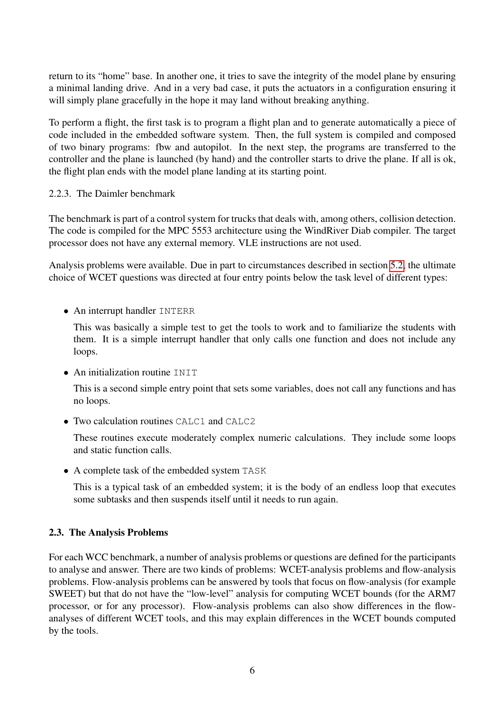return to its "home" base. In another one, it tries to save the integrity of the model plane by ensuring a minimal landing drive. And in a very bad case, it puts the actuators in a configuration ensuring it will simply plane gracefully in the hope it may land without breaking anything.

To perform a flight, the first task is to program a flight plan and to generate automatically a piece of code included in the embedded software system. Then, the full system is compiled and composed of two binary programs: fbw and autopilot. In the next step, the programs are transferred to the controller and the plane is launched (by hand) and the controller starts to drive the plane. If all is ok, the flight plan ends with the model plane landing at its starting point.

#### <span id="page-5-0"></span>2.2.3. The Daimler benchmark

The benchmark is part of a control system for trucks that deals with, among others, collision detection. The code is compiled for the MPC 5553 architecture using the WindRiver Diab compiler. The target processor does not have any external memory. VLE instructions are not used.

Analysis problems were available. Due in part to circumstances described in section [5.2,](#page-31-0) the ultimate choice of WCET questions was directed at four entry points below the task level of different types:

• An interrupt handler INTERR

This was basically a simple test to get the tools to work and to familiarize the students with them. It is a simple interrupt handler that only calls one function and does not include any loops.

• An initialization routine INIT

This is a second simple entry point that sets some variables, does not call any functions and has no loops.

• Two calculation routines CALC1 and CALC2

These routines execute moderately complex numeric calculations. They include some loops and static function calls.

• A complete task of the embedded system TASK

This is a typical task of an embedded system; it is the body of an endless loop that executes some subtasks and then suspends itself until it needs to run again.

## 2.3. The Analysis Problems

For each WCC benchmark, a number of analysis problems or questions are defined for the participants to analyse and answer. There are two kinds of problems: WCET-analysis problems and flow-analysis problems. Flow-analysis problems can be answered by tools that focus on flow-analysis (for example SWEET) but that do not have the "low-level" analysis for computing WCET bounds (for the ARM7 processor, or for any processor). Flow-analysis problems can also show differences in the flowanalyses of different WCET tools, and this may explain differences in the WCET bounds computed by the tools.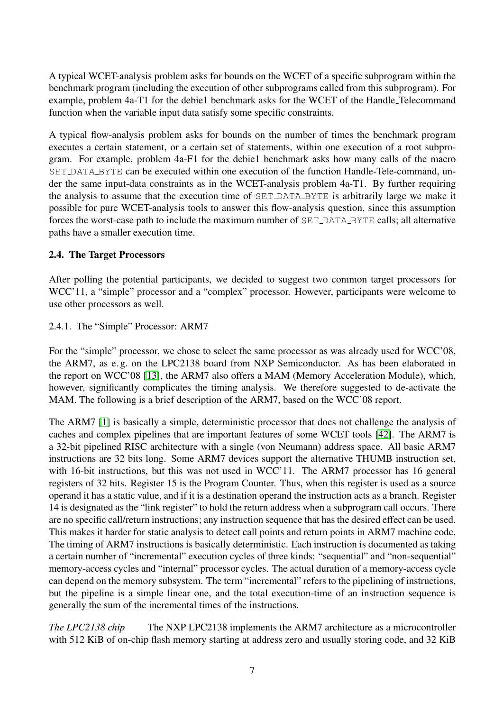A typical WCET-analysis problem asks for bounds on the WCET of a specific subprogram within the benchmark program (including the execution of other subprograms called from this subprogram). For example, problem 4a-T1 for the debie1 benchmark asks for the WCET of the Handle Telecommand function when the variable input data satisfy some specific constraints.

A typical flow-analysis problem asks for bounds on the number of times the benchmark program executes a certain statement, or a certain set of statements, within one execution of a root subprogram. For example, problem 4a-F1 for the debie1 benchmark asks how many calls of the macro SET\_DATA\_BYTE can be executed within one execution of the function Handle-Tele-command, under the same input-data constraints as in the WCET-analysis problem 4a-T1. By further requiring the analysis to assume that the execution time of SET DATA BYTE is arbitrarily large we make it possible for pure WCET-analysis tools to answer this flow-analysis question, since this assumption forces the worst-case path to include the maximum number of SET\_DATA\_BYTE calls; all alternative paths have a smaller execution time.

## <span id="page-6-1"></span>2.4. The Target Processors

After polling the potential participants, we decided to suggest two common target processors for WCC'11, a "simple" processor and a "complex" processor. However, participants were welcome to use other processors as well.

#### <span id="page-6-0"></span>2.4.1. The "Simple" Processor: ARM7

For the "simple" processor, we chose to select the same processor as was already used for WCC'08, the ARM7, as e. g. on the LPC2138 board from NXP Semiconductor. As has been elaborated in the report on WCC'08 [\[13\]](#page-35-0), the ARM7 also offers a MAM (Memory Acceleration Module), which, however, significantly complicates the timing analysis. We therefore suggested to de-activate the MAM. The following is a brief description of the ARM7, based on the WCC'08 report.

The ARM7 [\[1\]](#page-34-3) is basically a simple, deterministic processor that does not challenge the analysis of caches and complex pipelines that are important features of some WCET tools [\[42\]](#page-37-0). The ARM7 is a 32-bit pipelined RISC architecture with a single (von Neumann) address space. All basic ARM7 instructions are 32 bits long. Some ARM7 devices support the alternative THUMB instruction set, with 16-bit instructions, but this was not used in WCC'11. The ARM7 processor has 16 general registers of 32 bits. Register 15 is the Program Counter. Thus, when this register is used as a source operand it has a static value, and if it is a destination operand the instruction acts as a branch. Register 14 is designated as the "link register" to hold the return address when a subprogram call occurs. There are no specific call/return instructions; any instruction sequence that has the desired effect can be used. This makes it harder for static analysis to detect call points and return points in ARM7 machine code. The timing of ARM7 instructions is basically deterministic. Each instruction is documented as taking a certain number of "incremental" execution cycles of three kinds: "sequential" and "non-sequential" memory-access cycles and "internal" processor cycles. The actual duration of a memory-access cycle can depend on the memory subsystem. The term "incremental" refers to the pipelining of instructions, but the pipeline is a simple linear one, and the total execution-time of an instruction sequence is generally the sum of the incremental times of the instructions.

*The LPC2138 chip* The NXP LPC2138 implements the ARM7 architecture as a microcontroller with 512 KiB of on-chip flash memory starting at address zero and usually storing code, and 32 KiB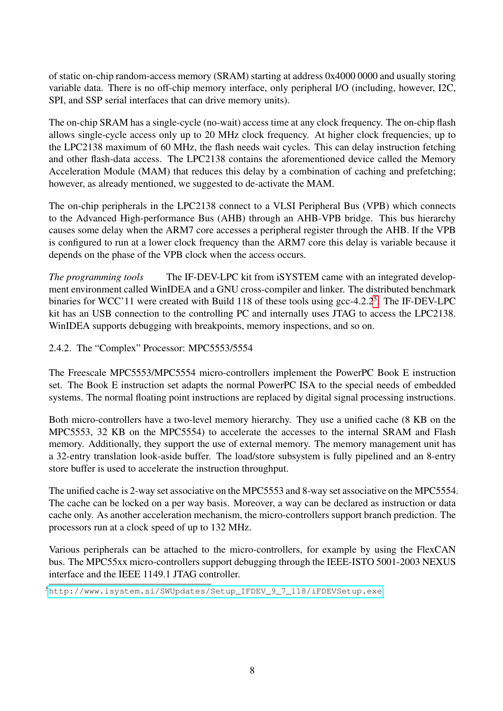of static on-chip random-access memory (SRAM) starting at address 0x4000 0000 and usually storing variable data. There is no off-chip memory interface, only peripheral I/O (including, however, I2C, SPI, and SSP serial interfaces that can drive memory units).

The on-chip SRAM has a single-cycle (no-wait) access time at any clock frequency. The on-chip flash allows single-cycle access only up to 20 MHz clock frequency. At higher clock frequencies, up to the LPC2138 maximum of 60 MHz, the flash needs wait cycles. This can delay instruction fetching and other flash-data access. The LPC2138 contains the aforementioned device called the Memory Acceleration Module (MAM) that reduces this delay by a combination of caching and prefetching; however, as already mentioned, we suggested to de-activate the MAM.

The on-chip peripherals in the LPC2138 connect to a VLSI Peripheral Bus (VPB) which connects to the Advanced High-performance Bus (AHB) through an AHB-VPB bridge. This bus hierarchy causes some delay when the ARM7 core accesses a peripheral register through the AHB. If the VPB is configured to run at a lower clock frequency than the ARM7 core this delay is variable because it depends on the phase of the VPB clock when the access occurs.

*The programming tools* The IF-DEV-LPC kit from iSYSTEM came with an integrated development environment called WinIDEA and a GNU cross-compiler and linker. The distributed benchmark binaries for WCC'11 were created with Build 118 of these tools using gcc-4.2.2<sup>5</sup>. The IF-DEV-LPC kit has an USB connection to the controlling PC and internally uses JTAG to access the LPC2138. WinIDEA supports debugging with breakpoints, memory inspections, and so on.

<span id="page-7-0"></span>2.4.2. The "Complex" Processor: MPC5553/5554

The Freescale MPC5553/MPC5554 micro-controllers implement the PowerPC Book E instruction set. The Book E instruction set adapts the normal PowerPC ISA to the special needs of embedded systems. The normal floating point instructions are replaced by digital signal processing instructions.

Both micro-controllers have a two-level memory hierarchy. They use a unified cache (8 KB on the MPC5553, 32 KB on the MPC5554) to accelerate the accesses to the internal SRAM and Flash memory. Additionally, they support the use of external memory. The memory management unit has a 32-entry translation look-aside buffer. The load/store subsystem is fully pipelined and an 8-entry store buffer is used to accelerate the instruction throughput.

The unified cache is 2-way set associative on the MPC5553 and 8-way set associative on the MPC5554. The cache can be locked on a per way basis. Moreover, a way can be declared as instruction or data cache only. As another acceleration mechanism, the micro-controllers support branch prediction. The processors run at a clock speed of up to 132 MHz.

Various peripherals can be attached to the micro-controllers, for example by using the FlexCAN bus. The MPC55xx micro-controllers support debugging through the IEEE-ISTO 5001-2003 NEXUS interface and the IEEE 1149.1 JTAG controller.

<span id="page-7-1"></span><sup>5</sup>[http://www.isystem.si/SWUpdates/Setup\\_IFDEV\\_9\\_7\\_118/iFDEVSetup.exe](http://www.isystem.si/SWUpdates/Setup_IFDEV_9_7_118/iFDEVSetup.exe)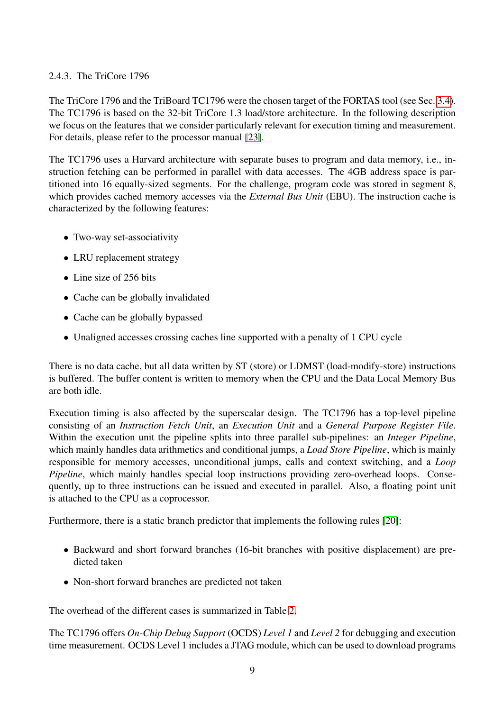## <span id="page-8-0"></span>2.4.3. The TriCore 1796

The TriCore 1796 and the TriBoard TC1796 were the chosen target of the FORTAS tool (see Sec. [3.4\)](#page-15-0). The TC1796 is based on the 32-bit TriCore 1.3 load/store architecture. In the following description we focus on the features that we consider particularly relevant for execution timing and measurement. For details, please refer to the processor manual [\[23\]](#page-35-2).

The TC1796 uses a Harvard architecture with separate buses to program and data memory, i.e., instruction fetching can be performed in parallel with data accesses. The 4GB address space is partitioned into 16 equally-sized segments. For the challenge, program code was stored in segment 8, which provides cached memory accesses via the *External Bus Unit* (EBU). The instruction cache is characterized by the following features:

- Two-way set-associativity
- LRU replacement strategy
- Line size of 256 bits
- Cache can be globally invalidated
- Cache can be globally bypassed
- Unaligned accesses crossing caches line supported with a penalty of 1 CPU cycle

There is no data cache, but all data written by ST (store) or LDMST (load-modify-store) instructions is buffered. The buffer content is written to memory when the CPU and the Data Local Memory Bus are both idle.

Execution timing is also affected by the superscalar design. The TC1796 has a top-level pipeline consisting of an *Instruction Fetch Unit*, an *Execution Unit* and a *General Purpose Register File*. Within the execution unit the pipeline splits into three parallel sub-pipelines: an *Integer Pipeline*, which mainly handles data arithmetics and conditional jumps, a *Load Store Pipeline*, which is mainly responsible for memory accesses, unconditional jumps, calls and context switching, and a *Loop Pipeline*, which mainly handles special loop instructions providing zero-overhead loops. Consequently, up to three instructions can be issued and executed in parallel. Also, a floating point unit is attached to the CPU as a coprocessor.

Furthermore, there is a static branch predictor that implements the following rules [\[20\]](#page-35-3):

- Backward and short forward branches (16-bit branches with positive displacement) are predicted taken
- Non-short forward branches are predicted not taken

The overhead of the different cases is summarized in Table [2.](#page-9-1)

The TC1796 offers *On-Chip Debug Support* (OCDS) *Level 1* and *Level 2* for debugging and execution time measurement. OCDS Level 1 includes a JTAG module, which can be used to download programs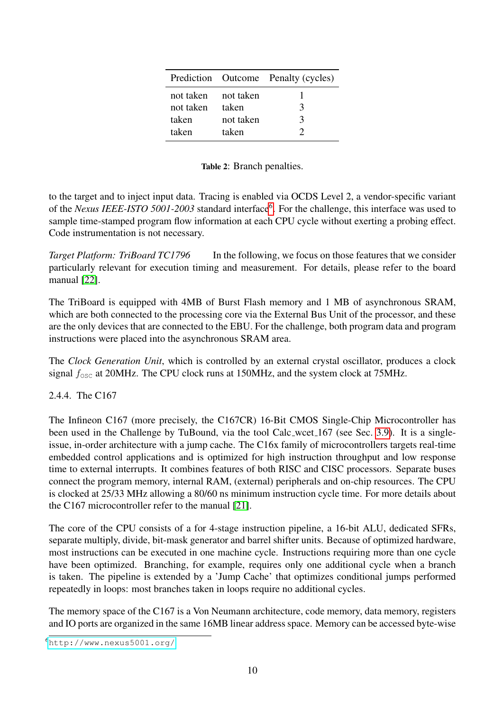<span id="page-9-1"></span>

|                     |           | Prediction Outcome Penalty (cycles) |
|---------------------|-----------|-------------------------------------|
| not taken not taken |           |                                     |
| not taken           | taken     | $\mathcal{R}$                       |
| taken               | not taken | 3                                   |
| taken               | taken     |                                     |

Table 2: Branch penalties.

to the target and to inject input data. Tracing is enabled via OCDS Level 2, a vendor-specific variant of the *Nexus IEEE-ISTO 5001-2003* standard interface<sup>6</sup>. For the challenge, this interface was used to sample time-stamped program flow information at each CPU cycle without exerting a probing effect. Code instrumentation is not necessary.

*Target Platform: TriBoard TC1796* In the following, we focus on those features that we consider particularly relevant for execution timing and measurement. For details, please refer to the board manual [\[22\]](#page-35-4).

The TriBoard is equipped with 4MB of Burst Flash memory and 1 MB of asynchronous SRAM, which are both connected to the processing core via the External Bus Unit of the processor, and these are the only devices that are connected to the EBU. For the challenge, both program data and program instructions were placed into the asynchronous SRAM area.

The *Clock Generation Unit*, which is controlled by an external crystal oscillator, produces a clock signal  $f_{\text{osc}}$  at 20MHz. The CPU clock runs at 150MHz, and the system clock at 75MHz.

## <span id="page-9-0"></span>2.4.4. The C167

The Infineon C167 (more precisely, the C167CR) 16-Bit CMOS Single-Chip Microcontroller has been used in the Challenge by TuBound, via the tool Calc\_wcet\_167 (see Sec. [3.9\)](#page-23-0). It is a singleissue, in-order architecture with a jump cache. The C16x family of microcontrollers targets real-time embedded control applications and is optimized for high instruction throughput and low response time to external interrupts. It combines features of both RISC and CISC processors. Separate buses connect the program memory, internal RAM, (external) peripherals and on-chip resources. The CPU is clocked at 25/33 MHz allowing a 80/60 ns minimum instruction cycle time. For more details about the C167 microcontroller refer to the manual [\[21\]](#page-35-5).

The core of the CPU consists of a for 4-stage instruction pipeline, a 16-bit ALU, dedicated SFRs, separate multiply, divide, bit-mask generator and barrel shifter units. Because of optimized hardware, most instructions can be executed in one machine cycle. Instructions requiring more than one cycle have been optimized. Branching, for example, requires only one additional cycle when a branch is taken. The pipeline is extended by a 'Jump Cache' that optimizes conditional jumps performed repeatedly in loops: most branches taken in loops require no additional cycles.

The memory space of the C167 is a Von Neumann architecture, code memory, data memory, registers and IO ports are organized in the same 16MB linear address space. Memory can be accessed byte-wise

<span id="page-9-2"></span><sup>6</sup><http://www.nexus5001.org/>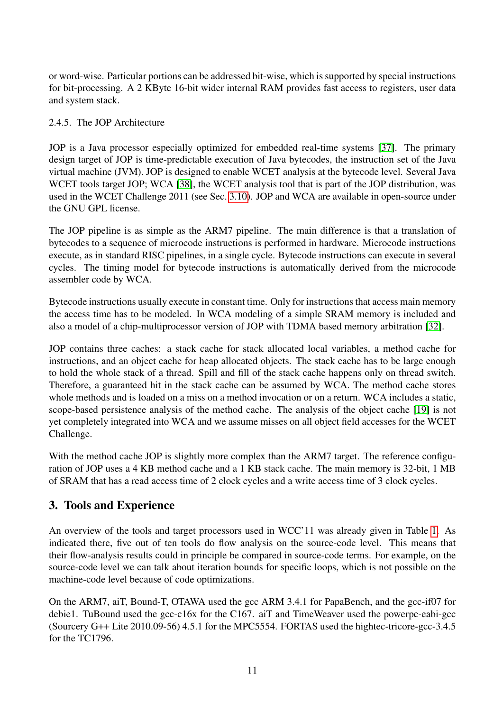or word-wise. Particular portions can be addressed bit-wise, which is supported by special instructions for bit-processing. A 2 KByte 16-bit wider internal RAM provides fast access to registers, user data and system stack.

## <span id="page-10-0"></span>2.4.5. The JOP Architecture

JOP is a Java processor especially optimized for embedded real-time systems [\[37\]](#page-37-2). The primary design target of JOP is time-predictable execution of Java bytecodes, the instruction set of the Java virtual machine (JVM). JOP is designed to enable WCET analysis at the bytecode level. Several Java WCET tools target JOP; WCA [\[38\]](#page-37-3), the WCET analysis tool that is part of the JOP distribution, was used in the WCET Challenge 2011 (see Sec. [3.10\)](#page-25-0). JOP and WCA are available in open-source under the GNU GPL license.

The JOP pipeline is as simple as the ARM7 pipeline. The main difference is that a translation of bytecodes to a sequence of microcode instructions is performed in hardware. Microcode instructions execute, as in standard RISC pipelines, in a single cycle. Bytecode instructions can execute in several cycles. The timing model for bytecode instructions is automatically derived from the microcode assembler code by WCA.

Bytecode instructions usually execute in constant time. Only for instructions that access main memory the access time has to be modeled. In WCA modeling of a simple SRAM memory is included and also a model of a chip-multiprocessor version of JOP with TDMA based memory arbitration [\[32\]](#page-36-1).

JOP contains three caches: a stack cache for stack allocated local variables, a method cache for instructions, and an object cache for heap allocated objects. The stack cache has to be large enough to hold the whole stack of a thread. Spill and fill of the stack cache happens only on thread switch. Therefore, a guaranteed hit in the stack cache can be assumed by WCA. The method cache stores whole methods and is loaded on a miss on a method invocation or on a return. WCA includes a static, scope-based persistence analysis of the method cache. The analysis of the object cache [\[19\]](#page-35-6) is not yet completely integrated into WCA and we assume misses on all object field accesses for the WCET Challenge.

With the method cache JOP is slightly more complex than the ARM7 target. The reference configuration of JOP uses a 4 KB method cache and a 1 KB stack cache. The main memory is 32-bit, 1 MB of SRAM that has a read access time of 2 clock cycles and a write access time of 3 clock cycles.

## <span id="page-10-1"></span>3. Tools and Experience

An overview of the tools and target processors used in WCC'11 was already given in Table [1.](#page-2-1) As indicated there, five out of ten tools do flow analysis on the source-code level. This means that their flow-analysis results could in principle be compared in source-code terms. For example, on the source-code level we can talk about iteration bounds for specific loops, which is not possible on the machine-code level because of code optimizations.

On the ARM7, aiT, Bound-T, OTAWA used the gcc ARM 3.4.1 for PapaBench, and the gcc-if07 for debie1. TuBound used the gcc-c16x for the C167. aiT and TimeWeaver used the powerpc-eabi-gcc (Sourcery G++ Lite 2010.09-56) 4.5.1 for the MPC5554. FORTAS used the hightec-tricore-gcc-3.4.5 for the TC1796.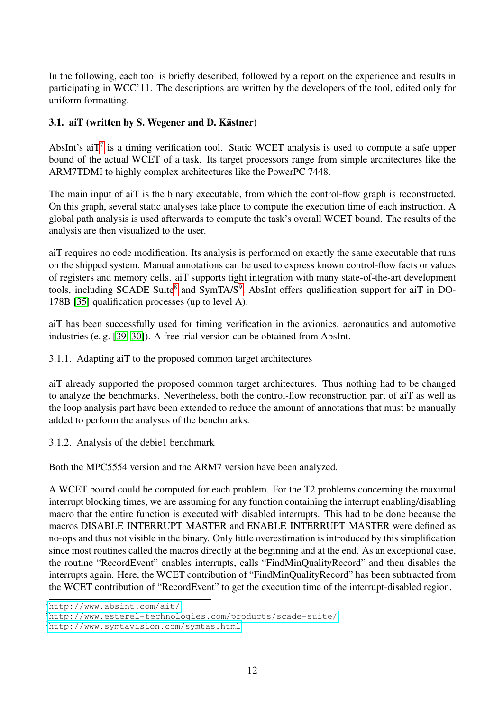In the following, each tool is briefly described, followed by a report on the experience and results in participating in WCC'11. The descriptions are written by the developers of the tool, edited only for uniform formatting.

## <span id="page-11-0"></span>3.1. aiT (written by S. Wegener and D. Kästner)

AbsInt's ai $T<sup>7</sup>$  $T<sup>7</sup>$  $T<sup>7</sup>$  is a timing verification tool. Static WCET analysis is used to compute a safe upper bound of the actual WCET of a task. Its target processors range from simple architectures like the ARM7TDMI to highly complex architectures like the PowerPC 7448.

The main input of aiT is the binary executable, from which the control-flow graph is reconstructed. On this graph, several static analyses take place to compute the execution time of each instruction. A global path analysis is used afterwards to compute the task's overall WCET bound. The results of the analysis are then visualized to the user.

aiT requires no code modification. Its analysis is performed on exactly the same executable that runs on the shipped system. Manual annotations can be used to express known control-flow facts or values of registers and memory cells. aiT supports tight integration with many state-of-the-art development tools, including SCADE Suite<sup>8</sup> and SymTA/S<sup>9</sup>. AbsInt offers qualification support for aiT in DO-178B [\[35\]](#page-36-2) qualification processes (up to level A).

aiT has been successfully used for timing verification in the avionics, aeronautics and automotive industries (e. g. [\[39,](#page-37-4) [30\]](#page-36-3)). A free trial version can be obtained from AbsInt.

3.1.1. Adapting aiT to the proposed common target architectures

aiT already supported the proposed common target architectures. Thus nothing had to be changed to analyze the benchmarks. Nevertheless, both the control-flow reconstruction part of aiT as well as the loop analysis part have been extended to reduce the amount of annotations that must be manually added to perform the analyses of the benchmarks.

3.1.2. Analysis of the debie1 benchmark

Both the MPC5554 version and the ARM7 version have been analyzed.

A WCET bound could be computed for each problem. For the T2 problems concerning the maximal interrupt blocking times, we are assuming for any function containing the interrupt enabling/disabling macro that the entire function is executed with disabled interrupts. This had to be done because the macros DISABLE INTERRUPT MASTER and ENABLE INTERRUPT MASTER were defined as no-ops and thus not visible in the binary. Only little overestimation is introduced by this simplification since most routines called the macros directly at the beginning and at the end. As an exceptional case, the routine "RecordEvent" enables interrupts, calls "FindMinQualityRecord" and then disables the interrupts again. Here, the WCET contribution of "FindMinQualityRecord" has been subtracted from the WCET contribution of "RecordEvent" to get the execution time of the interrupt-disabled region.

<span id="page-11-1"></span><sup>7</sup><http://www.absint.com/ait/>

<span id="page-11-2"></span><sup>8</sup><http://www.esterel-technologies.com/products/scade-suite/>

<span id="page-11-3"></span><sup>9</sup><http://www.symtavision.com/symtas.html>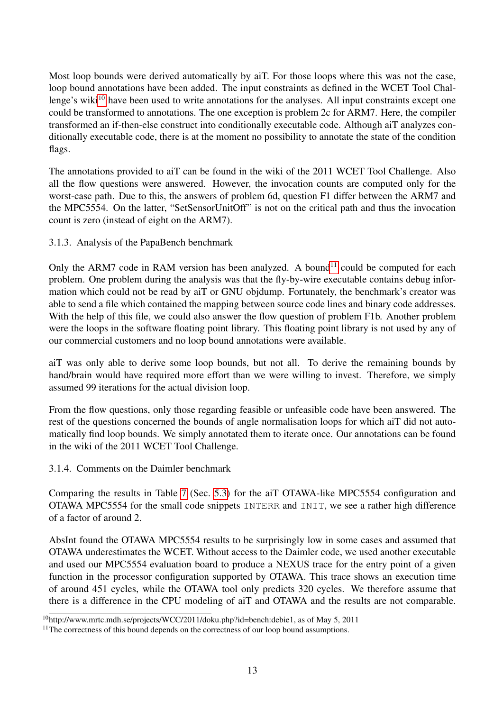Most loop bounds were derived automatically by aiT. For those loops where this was not the case, loop bound annotations have been added. The input constraints as defined in the WCET Tool Chal-lenge's wiki<sup>[10](#page-12-0)</sup> have been used to write annotations for the analyses. All input constraints except one could be transformed to annotations. The one exception is problem 2c for ARM7. Here, the compiler transformed an if-then-else construct into conditionally executable code. Although aiT analyzes conditionally executable code, there is at the moment no possibility to annotate the state of the condition flags.

The annotations provided to aiT can be found in the wiki of the 2011 WCET Tool Challenge. Also all the flow questions were answered. However, the invocation counts are computed only for the worst-case path. Due to this, the answers of problem 6d, question F1 differ between the ARM7 and the MPC5554. On the latter, "SetSensorUnitOff" is not on the critical path and thus the invocation count is zero (instead of eight on the ARM7).

3.1.3. Analysis of the PapaBench benchmark

Only the ARM7 code in RAM version has been analyzed. A bound<sup>[11](#page-12-1)</sup> could be computed for each problem. One problem during the analysis was that the fly-by-wire executable contains debug information which could not be read by aiT or GNU objdump. Fortunately, the benchmark's creator was able to send a file which contained the mapping between source code lines and binary code addresses. With the help of this file, we could also answer the flow question of problem F1b. Another problem were the loops in the software floating point library. This floating point library is not used by any of our commercial customers and no loop bound annotations were available.

aiT was only able to derive some loop bounds, but not all. To derive the remaining bounds by hand/brain would have required more effort than we were willing to invest. Therefore, we simply assumed 99 iterations for the actual division loop.

From the flow questions, only those regarding feasible or unfeasible code have been answered. The rest of the questions concerned the bounds of angle normalisation loops for which aiT did not automatically find loop bounds. We simply annotated them to iterate once. Our annotations can be found in the wiki of the 2011 WCET Tool Challenge.

<span id="page-12-2"></span>3.1.4. Comments on the Daimler benchmark

Comparing the results in Table [7](#page-32-1) (Sec. [5.3\)](#page-31-1) for the aiT OTAWA-like MPC5554 configuration and OTAWA MPC5554 for the small code snippets INTERR and INIT, we see a rather high difference of a factor of around 2.

AbsInt found the OTAWA MPC5554 results to be surprisingly low in some cases and assumed that OTAWA underestimates the WCET. Without access to the Daimler code, we used another executable and used our MPC5554 evaluation board to produce a NEXUS trace for the entry point of a given function in the processor configuration supported by OTAWA. This trace shows an execution time of around 451 cycles, while the OTAWA tool only predicts 320 cycles. We therefore assume that there is a difference in the CPU modeling of aiT and OTAWA and the results are not comparable.

<span id="page-12-0"></span> $10$ http://www.mrtc.mdh.se/projects/WCC/2011/doku.php?id=bench:debie1, as of May 5, 2011

<span id="page-12-1"></span><sup>&</sup>lt;sup>11</sup>The correctness of this bound depends on the correctness of our loop bound assumptions.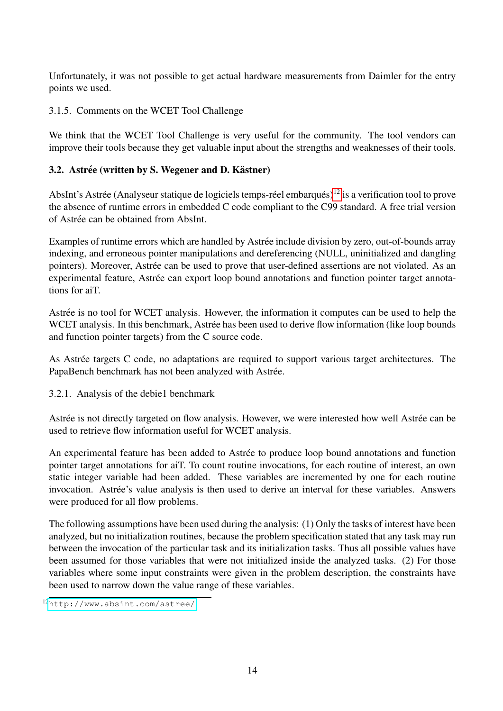Unfortunately, it was not possible to get actual hardware measurements from Daimler for the entry points we used.

#### 3.1.5. Comments on the WCET Tool Challenge

We think that the WCET Tool Challenge is very useful for the community. The tool vendors can improve their tools because they get valuable input about the strengths and weaknesses of their tools.

## <span id="page-13-0"></span>3.2. Astrée (written by S. Wegener and D. Kästner)

AbsInt's Astrée (Analyseur statique de logiciels temps-réel embarqués)<sup>[12](#page-13-1)</sup> is a verification tool to prove the absence of runtime errors in embedded C code compliant to the C99 standard. A free trial version of Astrée can be obtained from AbsInt.

Examples of runtime errors which are handled by Astrée include division by zero, out-of-bounds array indexing, and erroneous pointer manipulations and dereferencing (NULL, uninitialized and dangling pointers). Moreover, Astrée can be used to prove that user-defined assertions are not violated. As an experimental feature, Astrée can export loop bound annotations and function pointer target annotations for aiT.

Astrée is no tool for WCET analysis. However, the information it computes can be used to help the WCET analysis. In this benchmark, Astrée has been used to derive flow information (like loop bounds and function pointer targets) from the C source code.

As Astrée targets C code, no adaptations are required to support various target architectures. The PapaBench benchmark has not been analyzed with Astrée.

3.2.1. Analysis of the debie1 benchmark

Astrée is not directly targeted on flow analysis. However, we were interested how well Astrée can be used to retrieve flow information useful for WCET analysis.

An experimental feature has been added to Astrée to produce loop bound annotations and function pointer target annotations for aiT. To count routine invocations, for each routine of interest, an own static integer variable had been added. These variables are incremented by one for each routine invocation. Astrée's value analysis is then used to derive an interval for these variables. Answers were produced for all flow problems.

The following assumptions have been used during the analysis: (1) Only the tasks of interest have been analyzed, but no initialization routines, because the problem specification stated that any task may run between the invocation of the particular task and its initialization tasks. Thus all possible values have been assumed for those variables that were not initialized inside the analyzed tasks. (2) For those variables where some input constraints were given in the problem description, the constraints have been used to narrow down the value range of these variables.

<span id="page-13-1"></span><sup>12</sup><http://www.absint.com/astree/>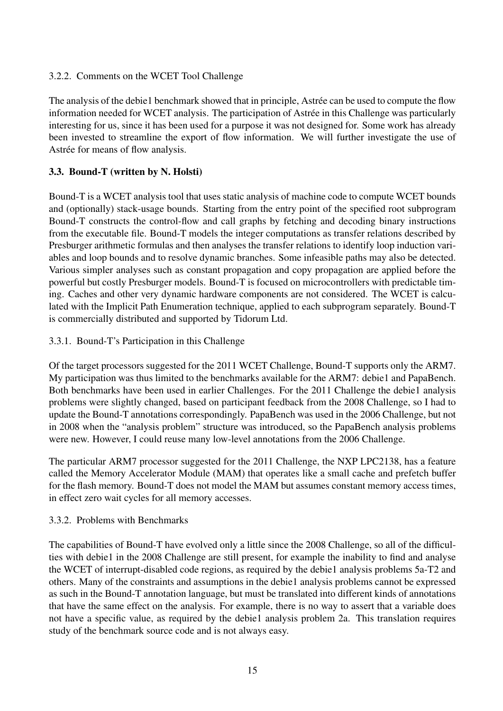## 3.2.2. Comments on the WCET Tool Challenge

The analysis of the debie1 benchmark showed that in principle, Astrée can be used to compute the flow information needed for WCET analysis. The participation of Astrée in this Challenge was particularly interesting for us, since it has been used for a purpose it was not designed for. Some work has already been invested to streamline the export of flow information. We will further investigate the use of Astrée for means of flow analysis.

## <span id="page-14-0"></span>3.3. Bound-T (written by N. Holsti)

Bound-T is a WCET analysis tool that uses static analysis of machine code to compute WCET bounds and (optionally) stack-usage bounds. Starting from the entry point of the specified root subprogram Bound-T constructs the control-flow and call graphs by fetching and decoding binary instructions from the executable file. Bound-T models the integer computations as transfer relations described by Presburger arithmetic formulas and then analyses the transfer relations to identify loop induction variables and loop bounds and to resolve dynamic branches. Some infeasible paths may also be detected. Various simpler analyses such as constant propagation and copy propagation are applied before the powerful but costly Presburger models. Bound-T is focused on microcontrollers with predictable timing. Caches and other very dynamic hardware components are not considered. The WCET is calculated with the Implicit Path Enumeration technique, applied to each subprogram separately. Bound-T is commercially distributed and supported by Tidorum Ltd.

## 3.3.1. Bound-T's Participation in this Challenge

Of the target processors suggested for the 2011 WCET Challenge, Bound-T supports only the ARM7. My participation was thus limited to the benchmarks available for the ARM7: debie1 and PapaBench. Both benchmarks have been used in earlier Challenges. For the 2011 Challenge the debie1 analysis problems were slightly changed, based on participant feedback from the 2008 Challenge, so I had to update the Bound-T annotations correspondingly. PapaBench was used in the 2006 Challenge, but not in 2008 when the "analysis problem" structure was introduced, so the PapaBench analysis problems were new. However, I could reuse many low-level annotations from the 2006 Challenge.

The particular ARM7 processor suggested for the 2011 Challenge, the NXP LPC2138, has a feature called the Memory Accelerator Module (MAM) that operates like a small cache and prefetch buffer for the flash memory. Bound-T does not model the MAM but assumes constant memory access times, in effect zero wait cycles for all memory accesses.

## 3.3.2. Problems with Benchmarks

The capabilities of Bound-T have evolved only a little since the 2008 Challenge, so all of the difficulties with debie1 in the 2008 Challenge are still present, for example the inability to find and analyse the WCET of interrupt-disabled code regions, as required by the debie1 analysis problems 5a-T2 and others. Many of the constraints and assumptions in the debie1 analysis problems cannot be expressed as such in the Bound-T annotation language, but must be translated into different kinds of annotations that have the same effect on the analysis. For example, there is no way to assert that a variable does not have a specific value, as required by the debie1 analysis problem 2a. This translation requires study of the benchmark source code and is not always easy.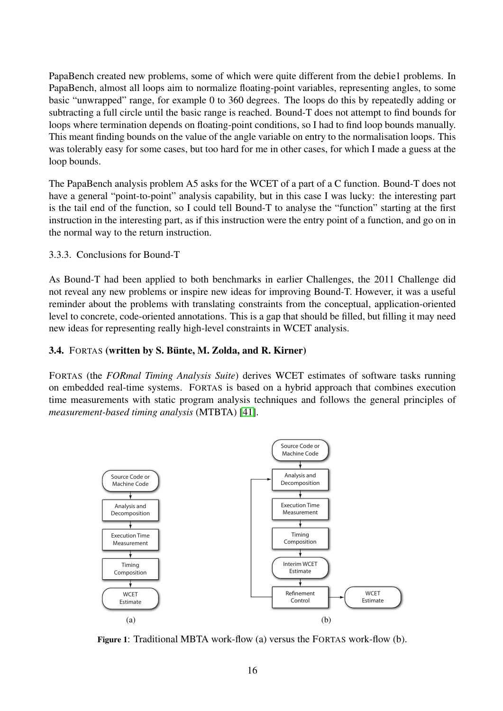PapaBench created new problems, some of which were quite different from the debie1 problems. In PapaBench, almost all loops aim to normalize floating-point variables, representing angles, to some basic "unwrapped" range, for example 0 to 360 degrees. The loops do this by repeatedly adding or subtracting a full circle until the basic range is reached. Bound-T does not attempt to find bounds for loops where termination depends on floating-point conditions, so I had to find loop bounds manually. This meant finding bounds on the value of the angle variable on entry to the normalisation loops. This was tolerably easy for some cases, but too hard for me in other cases, for which I made a guess at the loop bounds.

The PapaBench analysis problem A5 asks for the WCET of a part of a C function. Bound-T does not have a general "point-to-point" analysis capability, but in this case I was lucky: the interesting part is the tail end of the function, so I could tell Bound-T to analyse the "function" starting at the first instruction in the interesting part, as if this instruction were the entry point of a function, and go on in the normal way to the return instruction.

#### 3.3.3. Conclusions for Bound-T

As Bound-T had been applied to both benchmarks in earlier Challenges, the 2011 Challenge did not reveal any new problems or inspire new ideas for improving Bound-T. However, it was a useful reminder about the problems with translating constraints from the conceptual, application-oriented level to concrete, code-oriented annotations. This is a gap that should be filled, but filling it may need new ideas for representing really high-level constraints in WCET analysis.

#### <span id="page-15-0"></span>3.4. FORTAS (written by S. Bünte, M. Zolda, and R. Kirner)

FORTAS (the *FORmal Timing Analysis Suite*) derives WCET estimates of software tasks running on embedded real-time systems. FORTAS is based on a hybrid approach that combines execution time measurements with static program analysis techniques and follows the general principles of *measurement-based timing analysis* (MTBTA) [\[41\]](#page-37-5).

<span id="page-15-1"></span>

Figure 1: Traditional MBTA work-flow (a) versus the FORTAS work-flow (b).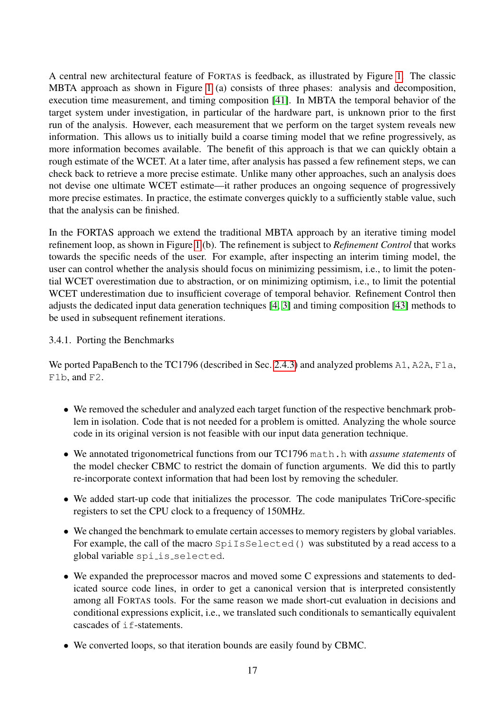A central new architectural feature of FORTAS is feedback, as illustrated by Figure [1.](#page-15-1) The classic MBTA approach as shown in Figure [1](#page-15-1) (a) consists of three phases: analysis and decomposition, execution time measurement, and timing composition [\[41\]](#page-37-5). In MBTA the temporal behavior of the target system under investigation, in particular of the hardware part, is unknown prior to the first run of the analysis. However, each measurement that we perform on the target system reveals new information. This allows us to initially build a coarse timing model that we refine progressively, as more information becomes available. The benefit of this approach is that we can quickly obtain a rough estimate of the WCET. At a later time, after analysis has passed a few refinement steps, we can check back to retrieve a more precise estimate. Unlike many other approaches, such an analysis does not devise one ultimate WCET estimate—it rather produces an ongoing sequence of progressively more precise estimates. In practice, the estimate converges quickly to a sufficiently stable value, such that the analysis can be finished.

In the FORTAS approach we extend the traditional MBTA approach by an iterative timing model refinement loop, as shown in Figure [1](#page-15-1) (b). The refinement is subject to *Refinement Control* that works towards the specific needs of the user. For example, after inspecting an interim timing model, the user can control whether the analysis should focus on minimizing pessimism, i.e., to limit the potential WCET overestimation due to abstraction, or on minimizing optimism, i.e., to limit the potential WCET underestimation due to insufficient coverage of temporal behavior. Refinement Control then adjusts the dedicated input data generation techniques [\[4,](#page-34-4) [3\]](#page-34-5) and timing composition [\[43\]](#page-37-6) methods to be used in subsequent refinement iterations.

#### 3.4.1. Porting the Benchmarks

We ported PapaBench to the TC1796 (described in Sec. [2.4.3\)](#page-8-0) and analyzed problems A1, A2A, F1a, F1b, and F2.

- We removed the scheduler and analyzed each target function of the respective benchmark problem in isolation. Code that is not needed for a problem is omitted. Analyzing the whole source code in its original version is not feasible with our input data generation technique.
- We annotated trigonometrical functions from our TC1796 math.h with *assume statements* of the model checker CBMC to restrict the domain of function arguments. We did this to partly re-incorporate context information that had been lost by removing the scheduler.
- We added start-up code that initializes the processor. The code manipulates TriCore-specific registers to set the CPU clock to a frequency of 150MHz.
- We changed the benchmark to emulate certain accesses to memory registers by global variables. For example, the call of the macro SpiIsSelected() was substituted by a read access to a global variable spi is selected.
- We expanded the preprocessor macros and moved some C expressions and statements to dedicated source code lines, in order to get a canonical version that is interpreted consistently among all FORTAS tools. For the same reason we made short-cut evaluation in decisions and conditional expressions explicit, i.e., we translated such conditionals to semantically equivalent cascades of if-statements.
- We converted loops, so that iteration bounds are easily found by CBMC.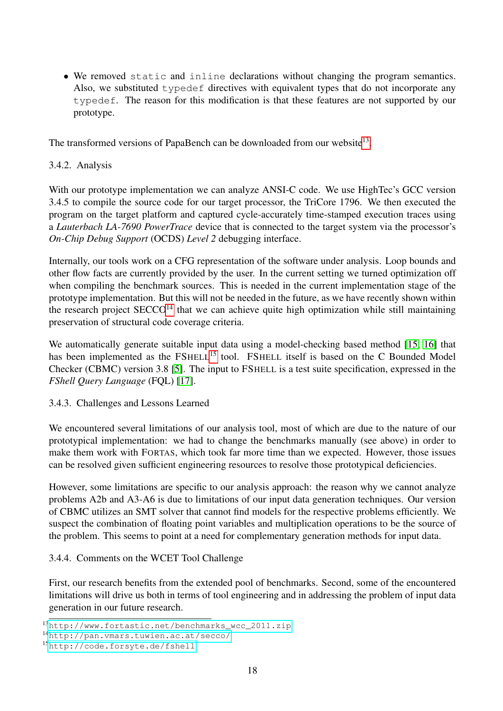• We removed static and inline declarations without changing the program semantics. Also, we substituted typedef directives with equivalent types that do not incorporate any typedef. The reason for this modification is that these features are not supported by our prototype.

The transformed versions of PapaBench can be downloaded from our website<sup>13</sup>.

#### 3.4.2. Analysis

With our prototype implementation we can analyze ANSI-C code. We use HighTec's GCC version 3.4.5 to compile the source code for our target processor, the TriCore 1796. We then executed the program on the target platform and captured cycle-accurately time-stamped execution traces using a *Lauterbach LA-7690 PowerTrace* device that is connected to the target system via the processor's *On-Chip Debug Support* (OCDS) *Level 2* debugging interface.

Internally, our tools work on a CFG representation of the software under analysis. Loop bounds and other flow facts are currently provided by the user. In the current setting we turned optimization off when compiling the benchmark sources. This is needed in the current implementation stage of the prototype implementation. But this will not be needed in the future, as we have recently shown within the research project  $SECCO<sup>14</sup>$  that we can achieve quite high optimization while still maintaining preservation of structural code coverage criteria.

We automatically generate suitable input data using a model-checking based method [\[15,](#page-35-7) [16\]](#page-35-8) that has been implemented as the FSHELL<sup>[15](#page-17-2)</sup> tool. FSHELL itself is based on the C Bounded Model Checker (CBMC) version 3.8 [\[5\]](#page-34-6). The input to FSHELL is a test suite specification, expressed in the *FShell Query Language* (FQL) [\[17\]](#page-35-9).

#### 3.4.3. Challenges and Lessons Learned

We encountered several limitations of our analysis tool, most of which are due to the nature of our prototypical implementation: we had to change the benchmarks manually (see above) in order to make them work with FORTAS, which took far more time than we expected. However, those issues can be resolved given sufficient engineering resources to resolve those prototypical deficiencies.

However, some limitations are specific to our analysis approach: the reason why we cannot analyze problems A2b and A3-A6 is due to limitations of our input data generation techniques. Our version of CBMC utilizes an SMT solver that cannot find models for the respective problems efficiently. We suspect the combination of floating point variables and multiplication operations to be the source of the problem. This seems to point at a need for complementary generation methods for input data.

## 3.4.4. Comments on the WCET Tool Challenge

First, our research benefits from the extended pool of benchmarks. Second, some of the encountered limitations will drive us both in terms of tool engineering and in addressing the problem of input data generation in our future research.

<span id="page-17-0"></span><sup>13</sup>[http://www.fortastic.net/benchmarks\\_wcc\\_2011.zip](http://www.fortastic.net/benchmarks_wcc_2011.zip)

<span id="page-17-1"></span><sup>14</sup><http://pan.vmars.tuwien.ac.at/secco/>

<span id="page-17-2"></span><sup>15</sup><http://code.forsyte.de/fshell>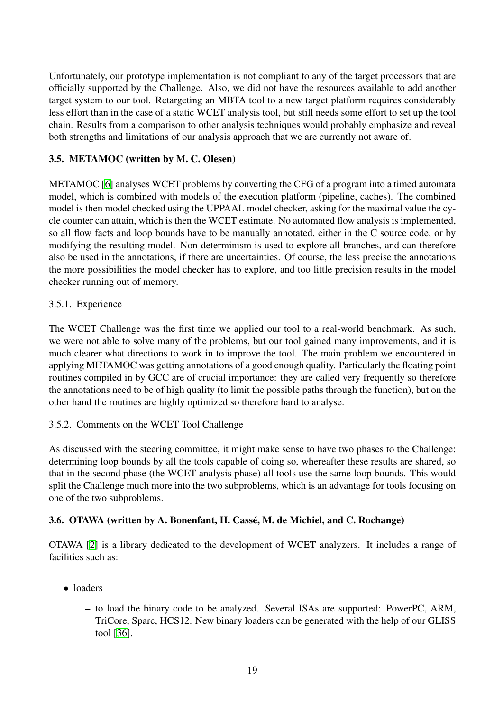Unfortunately, our prototype implementation is not compliant to any of the target processors that are officially supported by the Challenge. Also, we did not have the resources available to add another target system to our tool. Retargeting an MBTA tool to a new target platform requires considerably less effort than in the case of a static WCET analysis tool, but still needs some effort to set up the tool chain. Results from a comparison to other analysis techniques would probably emphasize and reveal both strengths and limitations of our analysis approach that we are currently not aware of.

## <span id="page-18-0"></span>3.5. METAMOC (written by M. C. Olesen)

METAMOC [\[6\]](#page-34-7) analyses WCET problems by converting the CFG of a program into a timed automata model, which is combined with models of the execution platform (pipeline, caches). The combined model is then model checked using the UPPAAL model checker, asking for the maximal value the cycle counter can attain, which is then the WCET estimate. No automated flow analysis is implemented, so all flow facts and loop bounds have to be manually annotated, either in the C source code, or by modifying the resulting model. Non-determinism is used to explore all branches, and can therefore also be used in the annotations, if there are uncertainties. Of course, the less precise the annotations the more possibilities the model checker has to explore, and too little precision results in the model checker running out of memory.

## 3.5.1. Experience

The WCET Challenge was the first time we applied our tool to a real-world benchmark. As such, we were not able to solve many of the problems, but our tool gained many improvements, and it is much clearer what directions to work in to improve the tool. The main problem we encountered in applying METAMOC was getting annotations of a good enough quality. Particularly the floating point routines compiled in by GCC are of crucial importance: they are called very frequently so therefore the annotations need to be of high quality (to limit the possible paths through the function), but on the other hand the routines are highly optimized so therefore hard to analyse.

## 3.5.2. Comments on the WCET Tool Challenge

As discussed with the steering committee, it might make sense to have two phases to the Challenge: determining loop bounds by all the tools capable of doing so, whereafter these results are shared, so that in the second phase (the WCET analysis phase) all tools use the same loop bounds. This would split the Challenge much more into the two subproblems, which is an advantage for tools focusing on one of the two subproblems.

## <span id="page-18-1"></span>3.6. OTAWA (written by A. Bonenfant, H. Casse, M. de Michiel, and C. Rochange) ´

OTAWA [\[2\]](#page-34-8) is a library dedicated to the development of WCET analyzers. It includes a range of facilities such as:

- loaders
	- to load the binary code to be analyzed. Several ISAs are supported: PowerPC, ARM, TriCore, Sparc, HCS12. New binary loaders can be generated with the help of our GLISS tool [\[36\]](#page-36-4).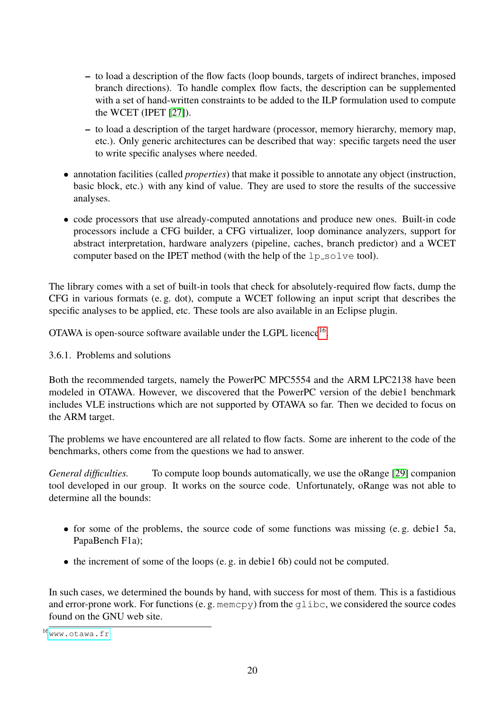- to load a description of the flow facts (loop bounds, targets of indirect branches, imposed branch directions). To handle complex flow facts, the description can be supplemented with a set of hand-written constraints to be added to the ILP formulation used to compute the WCET (IPET [\[27\]](#page-36-5)).
- to load a description of the target hardware (processor, memory hierarchy, memory map, etc.). Only generic architectures can be described that way: specific targets need the user to write specific analyses where needed.
- annotation facilities (called *properties*) that make it possible to annotate any object (instruction, basic block, etc.) with any kind of value. They are used to store the results of the successive analyses.
- code processors that use already-computed annotations and produce new ones. Built-in code processors include a CFG builder, a CFG virtualizer, loop dominance analyzers, support for abstract interpretation, hardware analyzers (pipeline, caches, branch predictor) and a WCET computer based on the IPET method (with the help of the lp\_solve tool).

The library comes with a set of built-in tools that check for absolutely-required flow facts, dump the CFG in various formats (e. g. dot), compute a WCET following an input script that describes the specific analyses to be applied, etc. These tools are also available in an Eclipse plugin.

OTAWA is open-source software available under the LGPL licence<sup>16</sup>.

3.6.1. Problems and solutions

Both the recommended targets, namely the PowerPC MPC5554 and the ARM LPC2138 have been modeled in OTAWA. However, we discovered that the PowerPC version of the debie1 benchmark includes VLE instructions which are not supported by OTAWA so far. Then we decided to focus on the ARM target.

The problems we have encountered are all related to flow facts. Some are inherent to the code of the benchmarks, others come from the questions we had to answer.

*General difficulties.* To compute loop bounds automatically, we use the oRange [\[29\]](#page-36-6) companion tool developed in our group. It works on the source code. Unfortunately, oRange was not able to determine all the bounds:

- for some of the problems, the source code of some functions was missing (e. g. debie1 5a, PapaBench F1a);
- the increment of some of the loops (e.g. in debie1 6b) could not be computed.

In such cases, we determined the bounds by hand, with success for most of them. This is a fastidious and error-prone work. For functions (e. g. memcpy) from the glibc, we considered the source codes found on the GNU web site.

<span id="page-19-0"></span> $16$ <sub>WWW</sub>.otawa.fr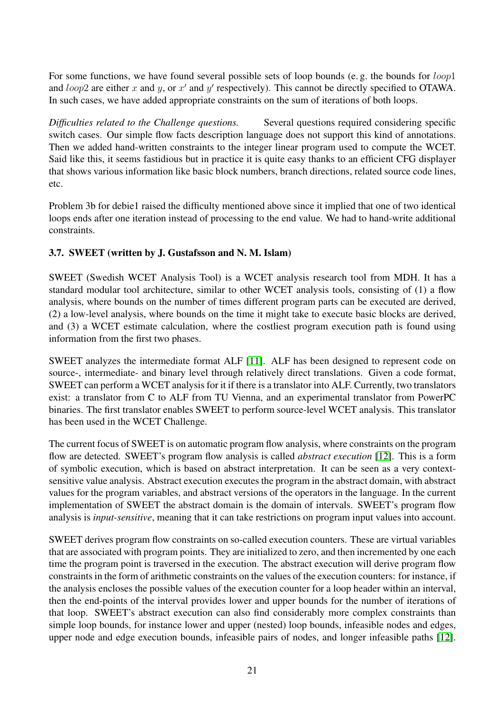For some functions, we have found several possible sets of loop bounds (e. g. the bounds for *loop*1 and *loop*2 are either *x* and *y*, or *x'* and *y'* respectively). This cannot be directly specified to OTAWA. In such cases, we have added appropriate constraints on the sum of iterations of both loops.

*Difficulties related to the Challenge questions.* Several questions required considering specific switch cases. Our simple flow facts description language does not support this kind of annotations. Then we added hand-written constraints to the integer linear program used to compute the WCET. Said like this, it seems fastidious but in practice it is quite easy thanks to an efficient CFG displayer that shows various information like basic block numbers, branch directions, related source code lines, etc.

Problem 3b for debie1 raised the difficulty mentioned above since it implied that one of two identical loops ends after one iteration instead of processing to the end value. We had to hand-write additional constraints.

## <span id="page-20-0"></span>3.7. SWEET (written by J. Gustafsson and N. M. Islam)

SWEET (Swedish WCET Analysis Tool) is a WCET analysis research tool from MDH. It has a standard modular tool architecture, similar to other WCET analysis tools, consisting of (1) a flow analysis, where bounds on the number of times different program parts can be executed are derived, (2) a low-level analysis, where bounds on the time it might take to execute basic blocks are derived, and (3) a WCET estimate calculation, where the costliest program execution path is found using information from the first two phases.

SWEET analyzes the intermediate format ALF [\[11\]](#page-34-9). ALF has been designed to represent code on source-, intermediate- and binary level through relatively direct translations. Given a code format, SWEET can perform a WCET analysis for it if there is a translator into ALF. Currently, two translators exist: a translator from C to ALF from TU Vienna, and an experimental translator from PowerPC binaries. The first translator enables SWEET to perform source-level WCET analysis. This translator has been used in the WCET Challenge.

The current focus of SWEET is on automatic program flow analysis, where constraints on the program flow are detected. SWEET's program flow analysis is called *abstract execution* [\[12\]](#page-35-10). This is a form of symbolic execution, which is based on abstract interpretation. It can be seen as a very contextsensitive value analysis. Abstract execution executes the program in the abstract domain, with abstract values for the program variables, and abstract versions of the operators in the language. In the current implementation of SWEET the abstract domain is the domain of intervals. SWEET's program flow analysis is *input-sensitive*, meaning that it can take restrictions on program input values into account.

SWEET derives program flow constraints on so-called execution counters. These are virtual variables that are associated with program points. They are initialized to zero, and then incremented by one each time the program point is traversed in the execution. The abstract execution will derive program flow constraints in the form of arithmetic constraints on the values of the execution counters: for instance, if the analysis encloses the possible values of the execution counter for a loop header within an interval, then the end-points of the interval provides lower and upper bounds for the number of iterations of that loop. SWEET's abstract execution can also find considerably more complex constraints than simple loop bounds, for instance lower and upper (nested) loop bounds, infeasible nodes and edges, upper node and edge execution bounds, infeasible pairs of nodes, and longer infeasible paths [\[12\]](#page-35-10).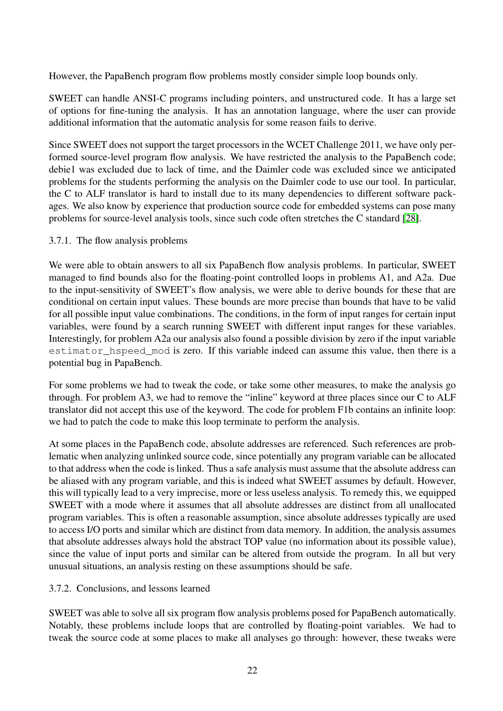However, the PapaBench program flow problems mostly consider simple loop bounds only.

SWEET can handle ANSI-C programs including pointers, and unstructured code. It has a large set of options for fine-tuning the analysis. It has an annotation language, where the user can provide additional information that the automatic analysis for some reason fails to derive.

Since SWEET does not support the target processors in the WCET Challenge 2011, we have only performed source-level program flow analysis. We have restricted the analysis to the PapaBench code; debie1 was excluded due to lack of time, and the Daimler code was excluded since we anticipated problems for the students performing the analysis on the Daimler code to use our tool. In particular, the C to ALF translator is hard to install due to its many dependencies to different software packages. We also know by experience that production source code for embedded systems can pose many problems for source-level analysis tools, since such code often stretches the C standard [\[28\]](#page-36-7).

#### 3.7.1. The flow analysis problems

We were able to obtain answers to all six PapaBench flow analysis problems. In particular, SWEET managed to find bounds also for the floating-point controlled loops in problems A1, and A2a. Due to the input-sensitivity of SWEET's flow analysis, we were able to derive bounds for these that are conditional on certain input values. These bounds are more precise than bounds that have to be valid for all possible input value combinations. The conditions, in the form of input ranges for certain input variables, were found by a search running SWEET with different input ranges for these variables. Interestingly, for problem A2a our analysis also found a possible division by zero if the input variable estimator\_hspeed\_mod is zero. If this variable indeed can assume this value, then there is a potential bug in PapaBench.

For some problems we had to tweak the code, or take some other measures, to make the analysis go through. For problem A3, we had to remove the "inline" keyword at three places since our C to ALF translator did not accept this use of the keyword. The code for problem F1b contains an infinite loop: we had to patch the code to make this loop terminate to perform the analysis.

At some places in the PapaBench code, absolute addresses are referenced. Such references are problematic when analyzing unlinked source code, since potentially any program variable can be allocated to that address when the code is linked. Thus a safe analysis must assume that the absolute address can be aliased with any program variable, and this is indeed what SWEET assumes by default. However, this will typically lead to a very imprecise, more or less useless analysis. To remedy this, we equipped SWEET with a mode where it assumes that all absolute addresses are distinct from all unallocated program variables. This is often a reasonable assumption, since absolute addresses typically are used to access I/O ports and similar which are distinct from data memory. In addition, the analysis assumes that absolute addresses always hold the abstract TOP value (no information about its possible value), since the value of input ports and similar can be altered from outside the program. In all but very unusual situations, an analysis resting on these assumptions should be safe.

#### 3.7.2. Conclusions, and lessons learned

SWEET was able to solve all six program flow analysis problems posed for PapaBench automatically. Notably, these problems include loops that are controlled by floating-point variables. We had to tweak the source code at some places to make all analyses go through: however, these tweaks were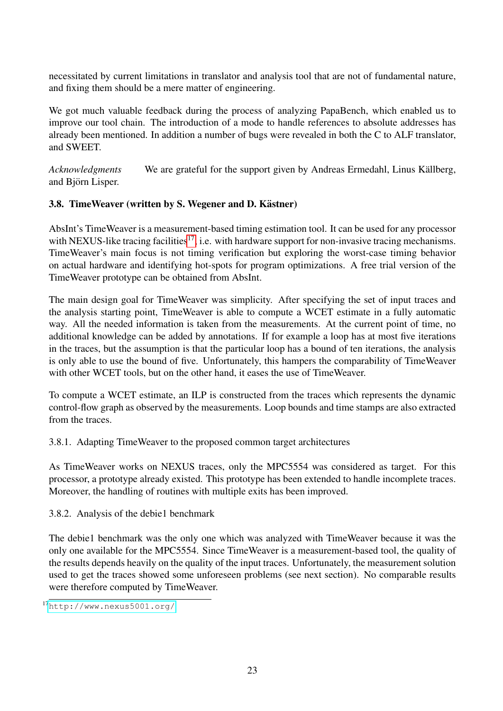necessitated by current limitations in translator and analysis tool that are not of fundamental nature, and fixing them should be a mere matter of engineering.

We got much valuable feedback during the process of analyzing PapaBench, which enabled us to improve our tool chain. The introduction of a mode to handle references to absolute addresses has already been mentioned. In addition a number of bugs were revealed in both the C to ALF translator, and SWEET.

*Acknowledgments* We are grateful for the support given by Andreas Ermedahl, Linus Källberg, and Björn Lisper.

## <span id="page-22-0"></span>3.8. TimeWeaver (written by S. Wegener and D. Kästner)

AbsInt's TimeWeaver is a measurement-based timing estimation tool. It can be used for any processor with NEXUS-like tracing facilities<sup>17</sup>, i.e. with hardware support for non-invasive tracing mechanisms. TimeWeaver's main focus is not timing verification but exploring the worst-case timing behavior on actual hardware and identifying hot-spots for program optimizations. A free trial version of the TimeWeaver prototype can be obtained from AbsInt.

The main design goal for TimeWeaver was simplicity. After specifying the set of input traces and the analysis starting point, TimeWeaver is able to compute a WCET estimate in a fully automatic way. All the needed information is taken from the measurements. At the current point of time, no additional knowledge can be added by annotations. If for example a loop has at most five iterations in the traces, but the assumption is that the particular loop has a bound of ten iterations, the analysis is only able to use the bound of five. Unfortunately, this hampers the comparability of TimeWeaver with other WCET tools, but on the other hand, it eases the use of TimeWeaver.

To compute a WCET estimate, an ILP is constructed from the traces which represents the dynamic control-flow graph as observed by the measurements. Loop bounds and time stamps are also extracted from the traces.

3.8.1. Adapting TimeWeaver to the proposed common target architectures

As TimeWeaver works on NEXUS traces, only the MPC5554 was considered as target. For this processor, a prototype already existed. This prototype has been extended to handle incomplete traces. Moreover, the handling of routines with multiple exits has been improved.

3.8.2. Analysis of the debie1 benchmark

The debie1 benchmark was the only one which was analyzed with TimeWeaver because it was the only one available for the MPC5554. Since TimeWeaver is a measurement-based tool, the quality of the results depends heavily on the quality of the input traces. Unfortunately, the measurement solution used to get the traces showed some unforeseen problems (see next section). No comparable results were therefore computed by TimeWeaver.

<span id="page-22-1"></span><sup>17</sup><http://www.nexus5001.org/>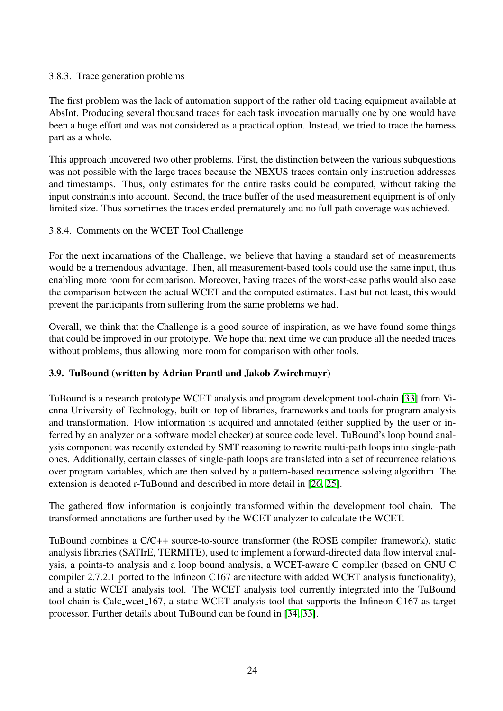## 3.8.3. Trace generation problems

The first problem was the lack of automation support of the rather old tracing equipment available at AbsInt. Producing several thousand traces for each task invocation manually one by one would have been a huge effort and was not considered as a practical option. Instead, we tried to trace the harness part as a whole.

This approach uncovered two other problems. First, the distinction between the various subquestions was not possible with the large traces because the NEXUS traces contain only instruction addresses and timestamps. Thus, only estimates for the entire tasks could be computed, without taking the input constraints into account. Second, the trace buffer of the used measurement equipment is of only limited size. Thus sometimes the traces ended prematurely and no full path coverage was achieved.

## 3.8.4. Comments on the WCET Tool Challenge

For the next incarnations of the Challenge, we believe that having a standard set of measurements would be a tremendous advantage. Then, all measurement-based tools could use the same input, thus enabling more room for comparison. Moreover, having traces of the worst-case paths would also ease the comparison between the actual WCET and the computed estimates. Last but not least, this would prevent the participants from suffering from the same problems we had.

Overall, we think that the Challenge is a good source of inspiration, as we have found some things that could be improved in our prototype. We hope that next time we can produce all the needed traces without problems, thus allowing more room for comparison with other tools.

## <span id="page-23-0"></span>3.9. TuBound (written by Adrian Prantl and Jakob Zwirchmayr)

TuBound is a research prototype WCET analysis and program development tool-chain [\[33\]](#page-36-8) from Vienna University of Technology, built on top of libraries, frameworks and tools for program analysis and transformation. Flow information is acquired and annotated (either supplied by the user or inferred by an analyzer or a software model checker) at source code level. TuBound's loop bound analysis component was recently extended by SMT reasoning to rewrite multi-path loops into single-path ones. Additionally, certain classes of single-path loops are translated into a set of recurrence relations over program variables, which are then solved by a pattern-based recurrence solving algorithm. The extension is denoted r-TuBound and described in more detail in [\[26,](#page-36-9) [25\]](#page-36-10).

The gathered flow information is conjointly transformed within the development tool chain. The transformed annotations are further used by the WCET analyzer to calculate the WCET.

TuBound combines a C/C++ source-to-source transformer (the ROSE compiler framework), static analysis libraries (SATIrE, TERMITE), used to implement a forward-directed data flow interval analysis, a points-to analysis and a loop bound analysis, a WCET-aware C compiler (based on GNU C compiler 2.7.2.1 ported to the Infineon C167 architecture with added WCET analysis functionality), and a static WCET analysis tool. The WCET analysis tool currently integrated into the TuBound tool-chain is Calc wcet 167, a static WCET analysis tool that supports the Infineon C167 as target processor. Further details about TuBound can be found in [\[34,](#page-36-11) [33\]](#page-36-8).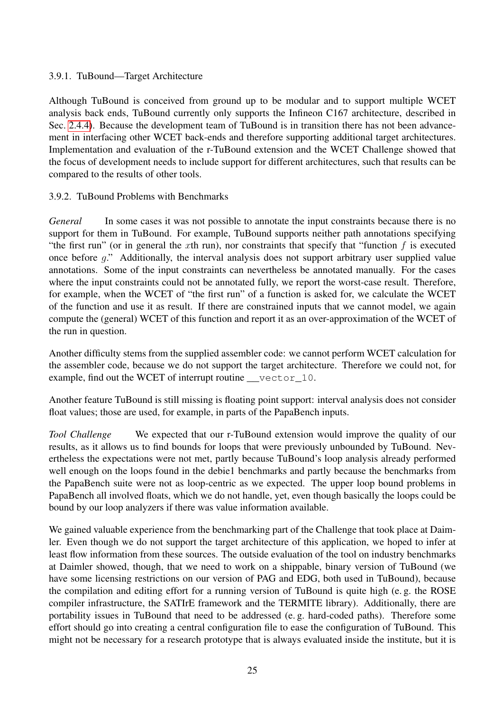## 3.9.1. TuBound—Target Architecture

Although TuBound is conceived from ground up to be modular and to support multiple WCET analysis back ends, TuBound currently only supports the Infineon C167 architecture, described in Sec. [2.4.4\)](#page-9-0). Because the development team of TuBound is in transition there has not been advancement in interfacing other WCET back-ends and therefore supporting additional target architectures. Implementation and evaluation of the r-TuBound extension and the WCET Challenge showed that the focus of development needs to include support for different architectures, such that results can be compared to the results of other tools.

#### 3.9.2. TuBound Problems with Benchmarks

*General* In some cases it was not possible to annotate the input constraints because there is no support for them in TuBound. For example, TuBound supports neither path annotations specifying "the first run" (or in general the *x*th run), nor constraints that specify that "function *f* is executed once before *g*." Additionally, the interval analysis does not support arbitrary user supplied value annotations. Some of the input constraints can nevertheless be annotated manually. For the cases where the input constraints could not be annotated fully, we report the worst-case result. Therefore, for example, when the WCET of "the first run" of a function is asked for, we calculate the WCET of the function and use it as result. If there are constrained inputs that we cannot model, we again compute the (general) WCET of this function and report it as an over-approximation of the WCET of the run in question.

Another difficulty stems from the supplied assembler code: we cannot perform WCET calculation for the assembler code, because we do not support the target architecture. Therefore we could not, for example, find out the WCET of interrupt routine \_\_vector\_10.

Another feature TuBound is still missing is floating point support: interval analysis does not consider float values; those are used, for example, in parts of the PapaBench inputs.

*Tool Challenge* We expected that our r-TuBound extension would improve the quality of our results, as it allows us to find bounds for loops that were previously unbounded by TuBound. Nevertheless the expectations were not met, partly because TuBound's loop analysis already performed well enough on the loops found in the debie1 benchmarks and partly because the benchmarks from the PapaBench suite were not as loop-centric as we expected. The upper loop bound problems in PapaBench all involved floats, which we do not handle, yet, even though basically the loops could be bound by our loop analyzers if there was value information available.

We gained valuable experience from the benchmarking part of the Challenge that took place at Daimler. Even though we do not support the target architecture of this application, we hoped to infer at least flow information from these sources. The outside evaluation of the tool on industry benchmarks at Daimler showed, though, that we need to work on a shippable, binary version of TuBound (we have some licensing restrictions on our version of PAG and EDG, both used in TuBound), because the compilation and editing effort for a running version of TuBound is quite high (e. g. the ROSE compiler infrastructure, the SATIrE framework and the TERMITE library). Additionally, there are portability issues in TuBound that need to be addressed (e. g. hard-coded paths). Therefore some effort should go into creating a central configuration file to ease the configuration of TuBound. This might not be necessary for a research prototype that is always evaluated inside the institute, but it is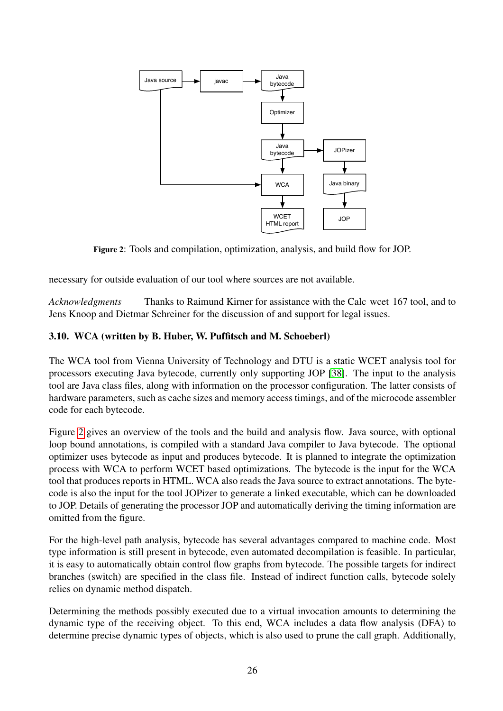<span id="page-25-1"></span>

Figure 2: Tools and compilation, optimization, analysis, and build flow for JOP.

necessary for outside evaluation of our tool where sources are not available.

*Acknowledgments* Thanks to Raimund Kirner for assistance with the Calc wcet 167 tool, and to Jens Knoop and Dietmar Schreiner for the discussion of and support for legal issues.

## <span id="page-25-0"></span>3.10. WCA (written by B. Huber, W. Puffitsch and M. Schoeberl)

The WCA tool from Vienna University of Technology and DTU is a static WCET analysis tool for processors executing Java bytecode, currently only supporting JOP [\[38\]](#page-37-3). The input to the analysis tool are Java class files, along with information on the processor configuration. The latter consists of hardware parameters, such as cache sizes and memory access timings, and of the microcode assembler code for each bytecode.

Figure [2](#page-25-1) gives an overview of the tools and the build and analysis flow. Java source, with optional loop bound annotations, is compiled with a standard Java compiler to Java bytecode. The optional optimizer uses bytecode as input and produces bytecode. It is planned to integrate the optimization process with WCA to perform WCET based optimizations. The bytecode is the input for the WCA tool that produces reports in HTML. WCA also reads the Java source to extract annotations. The bytecode is also the input for the tool JOPizer to generate a linked executable, which can be downloaded to JOP. Details of generating the processor JOP and automatically deriving the timing information are omitted from the figure.

For the high-level path analysis, bytecode has several advantages compared to machine code. Most type information is still present in bytecode, even automated decompilation is feasible. In particular, it is easy to automatically obtain control flow graphs from bytecode. The possible targets for indirect branches (switch) are specified in the class file. Instead of indirect function calls, bytecode solely relies on dynamic method dispatch.

Determining the methods possibly executed due to a virtual invocation amounts to determining the dynamic type of the receiving object. To this end, WCA includes a data flow analysis (DFA) to determine precise dynamic types of objects, which is also used to prune the call graph. Additionally,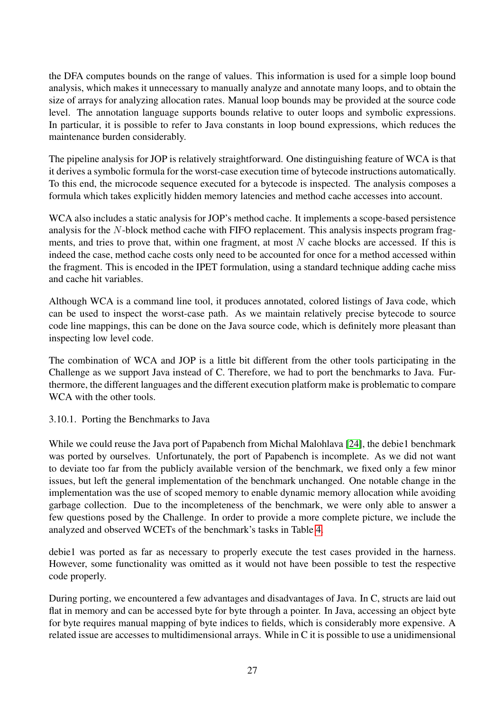the DFA computes bounds on the range of values. This information is used for a simple loop bound analysis, which makes it unnecessary to manually analyze and annotate many loops, and to obtain the size of arrays for analyzing allocation rates. Manual loop bounds may be provided at the source code level. The annotation language supports bounds relative to outer loops and symbolic expressions. In particular, it is possible to refer to Java constants in loop bound expressions, which reduces the maintenance burden considerably.

The pipeline analysis for JOP is relatively straightforward. One distinguishing feature of WCA is that it derives a symbolic formula for the worst-case execution time of bytecode instructions automatically. To this end, the microcode sequence executed for a bytecode is inspected. The analysis composes a formula which takes explicitly hidden memory latencies and method cache accesses into account.

WCA also includes a static analysis for JOP's method cache. It implements a scope-based persistence analysis for the *N*-block method cache with FIFO replacement. This analysis inspects program fragments, and tries to prove that, within one fragment, at most *N* cache blocks are accessed. If this is indeed the case, method cache costs only need to be accounted for once for a method accessed within the fragment. This is encoded in the IPET formulation, using a standard technique adding cache miss and cache hit variables.

Although WCA is a command line tool, it produces annotated, colored listings of Java code, which can be used to inspect the worst-case path. As we maintain relatively precise bytecode to source code line mappings, this can be done on the Java source code, which is definitely more pleasant than inspecting low level code.

The combination of WCA and JOP is a little bit different from the other tools participating in the Challenge as we support Java instead of C. Therefore, we had to port the benchmarks to Java. Furthermore, the different languages and the different execution platform make is problematic to compare WCA with the other tools.

3.10.1. Porting the Benchmarks to Java

While we could reuse the Java port of Papabench from Michal Malohlava [\[24\]](#page-35-11), the debie1 benchmark was ported by ourselves. Unfortunately, the port of Papabench is incomplete. As we did not want to deviate too far from the publicly available version of the benchmark, we fixed only a few minor issues, but left the general implementation of the benchmark unchanged. One notable change in the implementation was the use of scoped memory to enable dynamic memory allocation while avoiding garbage collection. Due to the incompleteness of the benchmark, we were only able to answer a few questions posed by the Challenge. In order to provide a more complete picture, we include the analyzed and observed WCETs of the benchmark's tasks in Table [4.](#page-28-0)

debie1 was ported as far as necessary to properly execute the test cases provided in the harness. However, some functionality was omitted as it would not have been possible to test the respective code properly.

During porting, we encountered a few advantages and disadvantages of Java. In C, structs are laid out flat in memory and can be accessed byte for byte through a pointer. In Java, accessing an object byte for byte requires manual mapping of byte indices to fields, which is considerably more expensive. A related issue are accesses to multidimensional arrays. While in C it is possible to use a unidimensional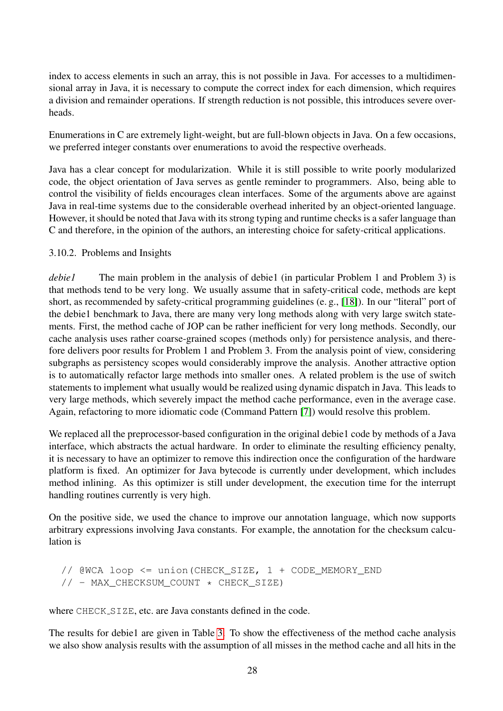index to access elements in such an array, this is not possible in Java. For accesses to a multidimensional array in Java, it is necessary to compute the correct index for each dimension, which requires a division and remainder operations. If strength reduction is not possible, this introduces severe overheads.

Enumerations in C are extremely light-weight, but are full-blown objects in Java. On a few occasions, we preferred integer constants over enumerations to avoid the respective overheads.

Java has a clear concept for modularization. While it is still possible to write poorly modularized code, the object orientation of Java serves as gentle reminder to programmers. Also, being able to control the visibility of fields encourages clean interfaces. Some of the arguments above are against Java in real-time systems due to the considerable overhead inherited by an object-oriented language. However, it should be noted that Java with its strong typing and runtime checks is a safer language than C and therefore, in the opinion of the authors, an interesting choice for safety-critical applications.

#### 3.10.2. Problems and Insights

*debie1* The main problem in the analysis of debie1 (in particular Problem 1 and Problem 3) is that methods tend to be very long. We usually assume that in safety-critical code, methods are kept short, as recommended by safety-critical programming guidelines (e. g., [\[18\]](#page-35-12)). In our "literal" port of the debie1 benchmark to Java, there are many very long methods along with very large switch statements. First, the method cache of JOP can be rather inefficient for very long methods. Secondly, our cache analysis uses rather coarse-grained scopes (methods only) for persistence analysis, and therefore delivers poor results for Problem 1 and Problem 3. From the analysis point of view, considering subgraphs as persistency scopes would considerably improve the analysis. Another attractive option is to automatically refactor large methods into smaller ones. A related problem is the use of switch statements to implement what usually would be realized using dynamic dispatch in Java. This leads to very large methods, which severely impact the method cache performance, even in the average case. Again, refactoring to more idiomatic code (Command Pattern [\[7\]](#page-34-10)) would resolve this problem.

We replaced all the preprocessor-based configuration in the original debie1 code by methods of a Java interface, which abstracts the actual hardware. In order to eliminate the resulting efficiency penalty, it is necessary to have an optimizer to remove this indirection once the configuration of the hardware platform is fixed. An optimizer for Java bytecode is currently under development, which includes method inlining. As this optimizer is still under development, the execution time for the interrupt handling routines currently is very high.

On the positive side, we used the chance to improve our annotation language, which now supports arbitrary expressions involving Java constants. For example, the annotation for the checksum calculation is

```
// @WCA loop <= union(CHECK_SIZE, 1 + CODE_MEMORY_END
// - MAX_CHECKSUM_COUNT * CHECK_SIZE)
```
where CHECK\_SIZE, etc. are Java constants defined in the code.

The results for debie1 are given in Table [3.](#page-28-1) To show the effectiveness of the method cache analysis we also show analysis results with the assumption of all misses in the method cache and all hits in the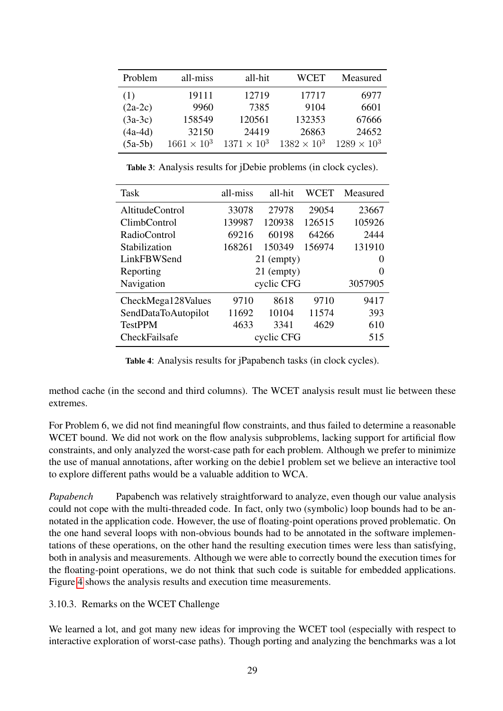<span id="page-28-1"></span>

| Problem   | all-miss             | all-hit              | WCET                 | Measured             |
|-----------|----------------------|----------------------|----------------------|----------------------|
| (1)       | 19111                | 12719                | 17717                | 6977                 |
| $(2a-2c)$ | 9960                 | 7385                 | 9104                 | 6601                 |
| $(3a-3c)$ | 158549               | 120561               | 132353               | 67666                |
| $(4a-4d)$ | 32150                | 24419                | 26863                | 24652                |
| $(5a-5b)$ | $1661 \times 10^{3}$ | $1371 \times 10^{3}$ | $1382 \times 10^{3}$ | $1289 \times 10^{3}$ |

Table 3: Analysis results for jDebie problems (in clock cycles).

<span id="page-28-0"></span>

| <b>Task</b>            | all-miss   | all-hit  | WCET   | Measured |
|------------------------|------------|----------|--------|----------|
| <b>AltitudeControl</b> | 33078      | 27978    | 29054  | 23667    |
| ClimbControl           | 139987     | 120938   | 126515 | 105926   |
| RadioControl           | 69216      | 60198    | 64266  | 2444     |
| Stabilization          | 168261     | 150349   | 156974 | 131910   |
| LinkFBWSend            | 21 (empty) | $\theta$ |        |          |
| Reporting              | 21 (empty) |          | 0      |          |
| Navigation             | cyclic CFG |          |        | 3057905  |
| CheckMega128Values     | 9710       | 8618     | 9710   | 9417     |
| SendDataToAutopilot    | 11692      | 10104    | 11574  | 393      |
| <b>TestPPM</b>         | 4633       | 3341     | 4629   | 610      |
| CheckFailsafe          | cyclic CFG |          | 515    |          |

Table 4: Analysis results for jPapabench tasks (in clock cycles).

method cache (in the second and third columns). The WCET analysis result must lie between these extremes.

For Problem 6, we did not find meaningful flow constraints, and thus failed to determine a reasonable WCET bound. We did not work on the flow analysis subproblems, lacking support for artificial flow constraints, and only analyzed the worst-case path for each problem. Although we prefer to minimize the use of manual annotations, after working on the debie1 problem set we believe an interactive tool to explore different paths would be a valuable addition to WCA.

*Papabench* Papabench was relatively straightforward to analyze, even though our value analysis could not cope with the multi-threaded code. In fact, only two (symbolic) loop bounds had to be annotated in the application code. However, the use of floating-point operations proved problematic. On the one hand several loops with non-obvious bounds had to be annotated in the software implementations of these operations, on the other hand the resulting execution times were less than satisfying, both in analysis and measurements. Although we were able to correctly bound the execution times for the floating-point operations, we do not think that such code is suitable for embedded applications. Figure [4](#page-28-0) shows the analysis results and execution time measurements.

3.10.3. Remarks on the WCET Challenge

We learned a lot, and got many new ideas for improving the WCET tool (especially with respect to interactive exploration of worst-case paths). Though porting and analyzing the benchmarks was a lot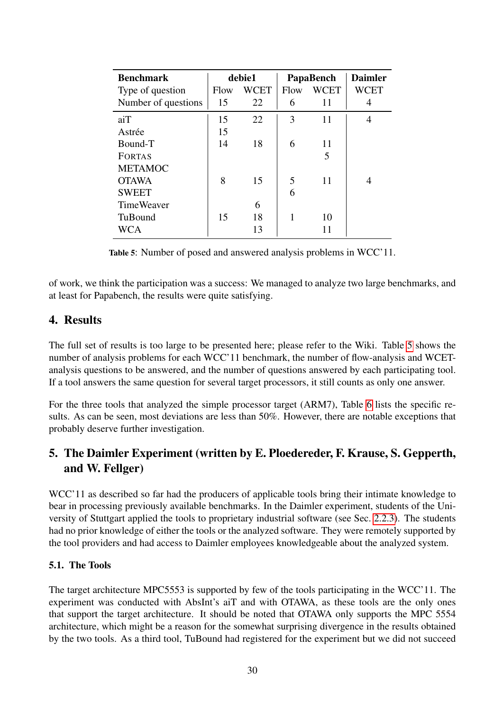<span id="page-29-2"></span>

| <b>Benchmark</b>    | debie1 |             | PapaBench |      | <b>Daimler</b> |
|---------------------|--------|-------------|-----------|------|----------------|
| Type of question    | Flow   | <b>WCET</b> | Flow      | WCET | WCET           |
| Number of questions | 15     | 22          | 6         | 11   | 4              |
| aiT                 | 15     | 22          | 3         | 11   | 4              |
| Astrée              | 15     |             |           |      |                |
| Bound-T             | 14     | 18          | 6         | 11   |                |
| <b>FORTAS</b>       |        |             |           | 5    |                |
| <b>METAMOC</b>      |        |             |           |      |                |
| <b>OTAWA</b>        | 8      | 15          | 5         | 11   |                |
| <b>SWEET</b>        |        |             | 6         |      |                |
| <b>TimeWeaver</b>   |        | 6           |           |      |                |
| TuBound             | 15     | 18          |           | 10   |                |
| <b>WCA</b>          |        | 13          |           | 11   |                |

Table 5: Number of posed and answered analysis problems in WCC'11.

of work, we think the participation was a success: We managed to analyze two large benchmarks, and at least for Papabench, the results were quite satisfying.

## <span id="page-29-0"></span>4. Results

The full set of results is too large to be presented here; please refer to the Wiki. Table [5](#page-29-2) shows the number of analysis problems for each WCC'11 benchmark, the number of flow-analysis and WCETanalysis questions to be answered, and the number of questions answered by each participating tool. If a tool answers the same question for several target processors, it still counts as only one answer.

For the three tools that analyzed the simple processor target (ARM7), Table [6](#page-30-0) lists the specific results. As can be seen, most deviations are less than 50%. However, there are notable exceptions that probably deserve further investigation.

## <span id="page-29-1"></span>5. The Daimler Experiment (written by E. Ploedereder, F. Krause, S. Gepperth, and W. Fellger)

WCC'11 as described so far had the producers of applicable tools bring their intimate knowledge to bear in processing previously available benchmarks. In the Daimler experiment, students of the University of Stuttgart applied the tools to proprietary industrial software (see Sec. [2.2.3\)](#page-5-0). The students had no prior knowledge of either the tools or the analyzed software. They were remotely supported by the tool providers and had access to Daimler employees knowledgeable about the analyzed system.

#### 5.1. The Tools

The target architecture MPC5553 is supported by few of the tools participating in the WCC'11. The experiment was conducted with AbsInt's aiT and with OTAWA, as these tools are the only ones that support the target architecture. It should be noted that OTAWA only supports the MPC 5554 architecture, which might be a reason for the somewhat surprising divergence in the results obtained by the two tools. As a third tool, TuBound had registered for the experiment but we did not succeed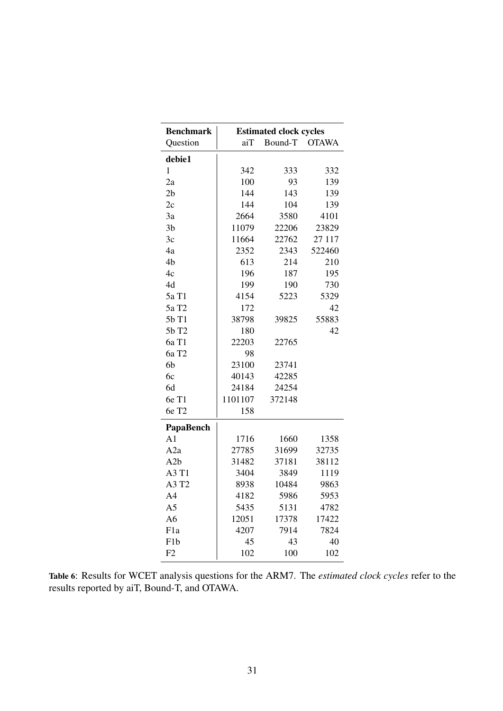<span id="page-30-0"></span>

| <b>Benchmark</b>  | <b>Estimated clock cycles</b> |         |              |  |  |
|-------------------|-------------------------------|---------|--------------|--|--|
| Question          | aiT                           | Bound-T | <b>OTAWA</b> |  |  |
| debie1            |                               |         |              |  |  |
| $\mathbf{1}$      | 342                           | 333     | 332          |  |  |
| 2a                | 100                           | 93      | 139          |  |  |
| 2 <sub>b</sub>    | 144                           | 143     | 139          |  |  |
| 2c                | 144                           | 104     | 139          |  |  |
| 3a                | 2664                          | 3580    | 4101         |  |  |
| 3 <sub>b</sub>    | 11079                         | 22206   | 23829        |  |  |
| 3c                | 11664                         | 22762   | 27 117       |  |  |
| 4a                | 2352                          | 2343    | 522460       |  |  |
| 4b                | 613                           | 214     | 210          |  |  |
| 4c                | 196                           | 187     | 195          |  |  |
| 4d                | 199                           | 190     | 730          |  |  |
| 5a T1             | 4154                          | 5223    | 5329         |  |  |
| 5a T <sub>2</sub> | 172                           |         | 42           |  |  |
| 5b T1             | 38798                         | 39825   | 55883        |  |  |
| 5b T2             | 180                           |         | 42           |  |  |
| 6a T1             | 22203                         | 22765   |              |  |  |
| 6a T <sub>2</sub> | 98                            |         |              |  |  |
| 6b                | 23100                         | 23741   |              |  |  |
| 6c                | 40143                         | 42285   |              |  |  |
| 6d                | 24184                         | 24254   |              |  |  |
| 6e T1             | 1101107                       | 372148  |              |  |  |
| 6e T <sub>2</sub> | 158                           |         |              |  |  |
| PapaBench         |                               |         |              |  |  |
| A <sub>1</sub>    | 1716                          | 1660    | 1358         |  |  |
| A2a               | 27785                         | 31699   | 32735        |  |  |
| A2b               | 31482                         | 37181   | 38112        |  |  |
| A3 T1             | 3404                          | 3849    | 1119         |  |  |
| A3 T2             | 8938                          | 10484   | 9863         |  |  |
| A <sub>4</sub>    | 4182                          | 5986    | 5953         |  |  |
| A <sub>5</sub>    | 5435                          | 5131    | 4782         |  |  |
| A <sub>6</sub>    | 12051                         | 17378   | 17422        |  |  |
| F <sub>1</sub> a  | 4207                          | 7914    | 7824         |  |  |
| F <sub>1</sub> b  | 45                            | 43      | 40           |  |  |
| F2                | 102                           | 100     | 102          |  |  |

Table 6: Results for WCET analysis questions for the ARM7. The *estimated clock cycles* refer to the results reported by aiT, Bound-T, and OTAWA.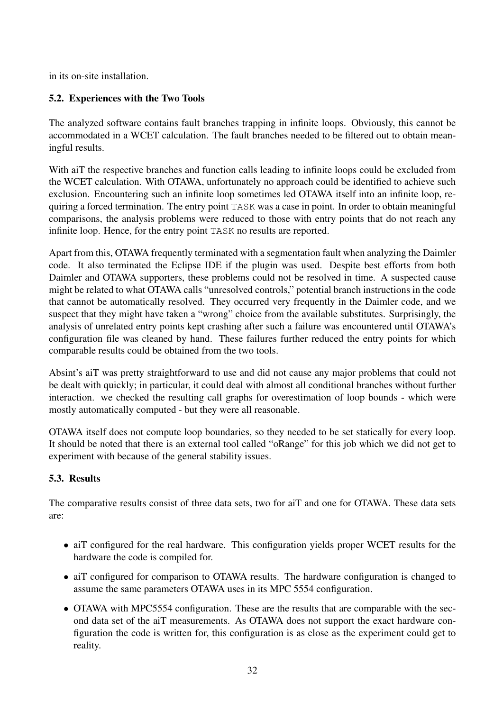<span id="page-31-0"></span>in its on-site installation.

## 5.2. Experiences with the Two Tools

The analyzed software contains fault branches trapping in infinite loops. Obviously, this cannot be accommodated in a WCET calculation. The fault branches needed to be filtered out to obtain meaningful results.

With aiT the respective branches and function calls leading to infinite loops could be excluded from the WCET calculation. With OTAWA, unfortunately no approach could be identified to achieve such exclusion. Encountering such an infinite loop sometimes led OTAWA itself into an infinite loop, requiring a forced termination. The entry point TASK was a case in point. In order to obtain meaningful comparisons, the analysis problems were reduced to those with entry points that do not reach any infinite loop. Hence, for the entry point TASK no results are reported.

Apart from this, OTAWA frequently terminated with a segmentation fault when analyzing the Daimler code. It also terminated the Eclipse IDE if the plugin was used. Despite best efforts from both Daimler and OTAWA supporters, these problems could not be resolved in time. A suspected cause might be related to what OTAWA calls "unresolved controls," potential branch instructions in the code that cannot be automatically resolved. They occurred very frequently in the Daimler code, and we suspect that they might have taken a "wrong" choice from the available substitutes. Surprisingly, the analysis of unrelated entry points kept crashing after such a failure was encountered until OTAWA's configuration file was cleaned by hand. These failures further reduced the entry points for which comparable results could be obtained from the two tools.

Absint's aiT was pretty straightforward to use and did not cause any major problems that could not be dealt with quickly; in particular, it could deal with almost all conditional branches without further interaction. we checked the resulting call graphs for overestimation of loop bounds - which were mostly automatically computed - but they were all reasonable.

OTAWA itself does not compute loop boundaries, so they needed to be set statically for every loop. It should be noted that there is an external tool called "oRange" for this job which we did not get to experiment with because of the general stability issues.

## <span id="page-31-1"></span>5.3. Results

The comparative results consist of three data sets, two for aiT and one for OTAWA. These data sets are:

- aiT configured for the real hardware. This configuration yields proper WCET results for the hardware the code is compiled for.
- aiT configured for comparison to OTAWA results. The hardware configuration is changed to assume the same parameters OTAWA uses in its MPC 5554 configuration.
- OTAWA with MPC5554 configuration. These are the results that are comparable with the second data set of the aiT measurements. As OTAWA does not support the exact hardware configuration the code is written for, this configuration is as close as the experiment could get to reality.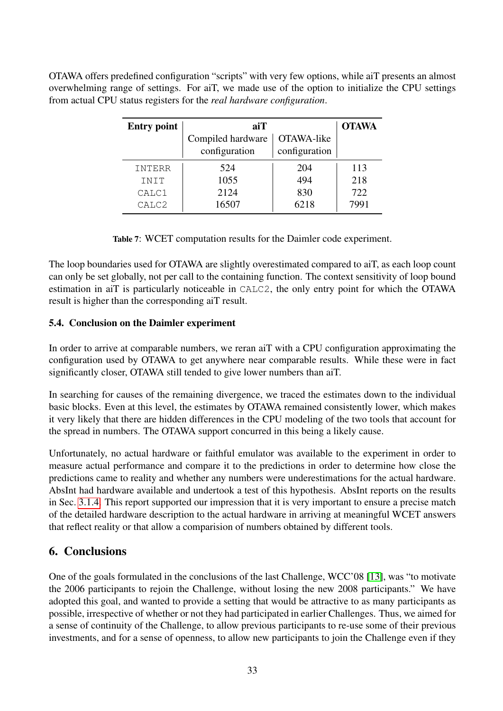<span id="page-32-1"></span>OTAWA offers predefined configuration "scripts" with very few options, while aiT presents an almost overwhelming range of settings. For aiT, we made use of the option to initialize the CPU settings from actual CPU status registers for the *real hardware configuration*.

| <b>Entry point</b> | aiT                                | <b>OTAWA</b>                |      |
|--------------------|------------------------------------|-----------------------------|------|
|                    | Compiled hardware<br>configuration | OTAWA-like<br>configuration |      |
|                    |                                    |                             |      |
| INTERR             | 524                                | 204                         | 113  |
| INIT               | 1055                               | 494                         | 218  |
| CALC1              | 2124                               | 830                         | 722  |
| CALC2              | 16507                              | 6218                        | 7991 |

Table 7: WCET computation results for the Daimler code experiment.

The loop boundaries used for OTAWA are slightly overestimated compared to aiT, as each loop count can only be set globally, not per call to the containing function. The context sensitivity of loop bound estimation in aiT is particularly noticeable in CALC2, the only entry point for which the OTAWA result is higher than the corresponding aiT result.

## 5.4. Conclusion on the Daimler experiment

In order to arrive at comparable numbers, we reran aiT with a CPU configuration approximating the configuration used by OTAWA to get anywhere near comparable results. While these were in fact significantly closer, OTAWA still tended to give lower numbers than aiT.

In searching for causes of the remaining divergence, we traced the estimates down to the individual basic blocks. Even at this level, the estimates by OTAWA remained consistently lower, which makes it very likely that there are hidden differences in the CPU modeling of the two tools that account for the spread in numbers. The OTAWA support concurred in this being a likely cause.

Unfortunately, no actual hardware or faithful emulator was available to the experiment in order to measure actual performance and compare it to the predictions in order to determine how close the predictions came to reality and whether any numbers were underestimations for the actual hardware. AbsInt had hardware available and undertook a test of this hypothesis. AbsInt reports on the results in Sec. [3.1.4.](#page-12-2) This report supported our impression that it is very important to ensure a precise match of the detailed hardware description to the actual hardware in arriving at meaningful WCET answers that reflect reality or that allow a comparision of numbers obtained by different tools.

## <span id="page-32-0"></span>6. Conclusions

One of the goals formulated in the conclusions of the last Challenge, WCC'08 [\[13\]](#page-35-0), was "to motivate the 2006 participants to rejoin the Challenge, without losing the new 2008 participants." We have adopted this goal, and wanted to provide a setting that would be attractive to as many participants as possible, irrespective of whether or not they had participated in earlier Challenges. Thus, we aimed for a sense of continuity of the Challenge, to allow previous participants to re-use some of their previous investments, and for a sense of openness, to allow new participants to join the Challenge even if they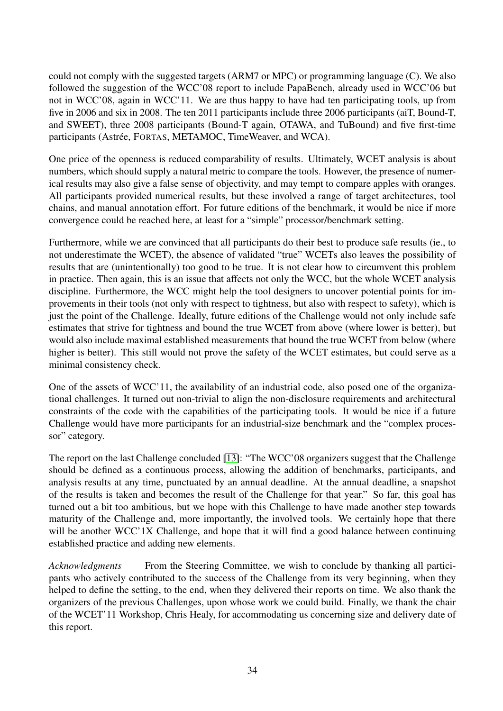could not comply with the suggested targets (ARM7 or MPC) or programming language (C). We also followed the suggestion of the WCC'08 report to include PapaBench, already used in WCC'06 but not in WCC'08, again in WCC'11. We are thus happy to have had ten participating tools, up from five in 2006 and six in 2008. The ten 2011 participants include three 2006 participants (aiT, Bound-T, and SWEET), three 2008 participants (Bound-T again, OTAWA, and TuBound) and five first-time participants (Astrée, FORTAS, METAMOC, TimeWeaver, and WCA).

One price of the openness is reduced comparability of results. Ultimately, WCET analysis is about numbers, which should supply a natural metric to compare the tools. However, the presence of numerical results may also give a false sense of objectivity, and may tempt to compare apples with oranges. All participants provided numerical results, but these involved a range of target architectures, tool chains, and manual annotation effort. For future editions of the benchmark, it would be nice if more convergence could be reached here, at least for a "simple" processor/benchmark setting.

Furthermore, while we are convinced that all participants do their best to produce safe results (ie., to not underestimate the WCET), the absence of validated "true" WCETs also leaves the possibility of results that are (unintentionally) too good to be true. It is not clear how to circumvent this problem in practice. Then again, this is an issue that affects not only the WCC, but the whole WCET analysis discipline. Furthermore, the WCC might help the tool designers to uncover potential points for improvements in their tools (not only with respect to tightness, but also with respect to safety), which is just the point of the Challenge. Ideally, future editions of the Challenge would not only include safe estimates that strive for tightness and bound the true WCET from above (where lower is better), but would also include maximal established measurements that bound the true WCET from below (where higher is better). This still would not prove the safety of the WCET estimates, but could serve as a minimal consistency check.

One of the assets of WCC'11, the availability of an industrial code, also posed one of the organizational challenges. It turned out non-trivial to align the non-disclosure requirements and architectural constraints of the code with the capabilities of the participating tools. It would be nice if a future Challenge would have more participants for an industrial-size benchmark and the "complex processor" category.

The report on the last Challenge concluded [\[13\]](#page-35-0): "The WCC'08 organizers suggest that the Challenge should be defined as a continuous process, allowing the addition of benchmarks, participants, and analysis results at any time, punctuated by an annual deadline. At the annual deadline, a snapshot of the results is taken and becomes the result of the Challenge for that year." So far, this goal has turned out a bit too ambitious, but we hope with this Challenge to have made another step towards maturity of the Challenge and, more importantly, the involved tools. We certainly hope that there will be another WCC'1X Challenge, and hope that it will find a good balance between continuing established practice and adding new elements.

*Acknowledgments* From the Steering Committee, we wish to conclude by thanking all participants who actively contributed to the success of the Challenge from its very beginning, when they helped to define the setting, to the end, when they delivered their reports on time. We also thank the organizers of the previous Challenges, upon whose work we could build. Finally, we thank the chair of the WCET'11 Workshop, Chris Healy, for accommodating us concerning size and delivery date of this report.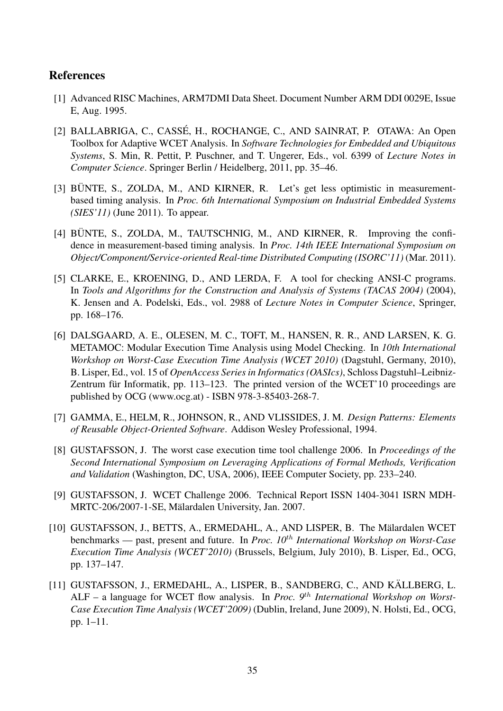## References

- <span id="page-34-3"></span>[1] Advanced RISC Machines, ARM7DMI Data Sheet. Document Number ARM DDI 0029E, Issue E, Aug. 1995.
- <span id="page-34-8"></span>[2] BALLABRIGA, C., CASSÉ, H., ROCHANGE, C., AND SAINRAT, P. OTAWA: An Open Toolbox for Adaptive WCET Analysis. In *Software Technologies for Embedded and Ubiquitous Systems*, S. Min, R. Pettit, P. Puschner, and T. Ungerer, Eds., vol. 6399 of *Lecture Notes in Computer Science*. Springer Berlin / Heidelberg, 2011, pp. 35–46.
- <span id="page-34-5"></span>[3] BÜNTE, S., ZOLDA, M., AND KIRNER, R. Let's get less optimistic in measurementbased timing analysis. In *Proc. 6th International Symposium on Industrial Embedded Systems (SIES'11)* (June 2011). To appear.
- <span id="page-34-4"></span> $[4]$  BÜNTE, S., ZOLDA, M., TAUTSCHNIG, M., AND KIRNER, R. Improving the confidence in measurement-based timing analysis. In *Proc. 14th IEEE International Symposium on Object/Component/Service-oriented Real-time Distributed Computing (ISORC'11)* (Mar. 2011).
- <span id="page-34-6"></span>[5] CLARKE, E., KROENING, D., AND LERDA, F. A tool for checking ANSI-C programs. In *Tools and Algorithms for the Construction and Analysis of Systems (TACAS 2004)* (2004), K. Jensen and A. Podelski, Eds., vol. 2988 of *Lecture Notes in Computer Science*, Springer, pp. 168–176.
- <span id="page-34-7"></span>[6] DALSGAARD, A. E., OLESEN, M. C., TOFT, M., HANSEN, R. R., AND LARSEN, K. G. METAMOC: Modular Execution Time Analysis using Model Checking. In *10th International Workshop on Worst-Case Execution Time Analysis (WCET 2010)* (Dagstuhl, Germany, 2010), B. Lisper, Ed., vol. 15 of *OpenAccess Series in Informatics (OASIcs)*, Schloss Dagstuhl–Leibniz-Zentrum für Informatik, pp. 113–123. The printed version of the WCET'10 proceedings are published by OCG (www.ocg.at) - ISBN 978-3-85403-268-7.
- <span id="page-34-10"></span>[7] GAMMA, E., HELM, R., JOHNSON, R., AND VLISSIDES, J. M. *Design Patterns: Elements of Reusable Object-Oriented Software*. Addison Wesley Professional, 1994.
- <span id="page-34-1"></span>[8] GUSTAFSSON, J. The worst case execution time tool challenge 2006. In *Proceedings of the Second International Symposium on Leveraging Applications of Formal Methods, Verification and Validation* (Washington, DC, USA, 2006), IEEE Computer Society, pp. 233–240.
- <span id="page-34-2"></span>[9] GUSTAFSSON, J. WCET Challenge 2006. Technical Report ISSN 1404-3041 ISRN MDH-MRTC-206/2007-1-SE, Mälardalen University, Jan. 2007.
- <span id="page-34-0"></span>[10] GUSTAFSSON, J., BETTS, A., ERMEDAHL, A., AND LISPER, B. The Mälardalen WCET benchmarks — past, present and future. In *Proc. 10th International Workshop on Worst-Case Execution Time Analysis (WCET'2010)* (Brussels, Belgium, July 2010), B. Lisper, Ed., OCG, pp. 137–147.
- <span id="page-34-9"></span>[11] GUSTAFSSON, J., ERMEDAHL, A., LISPER, B., SANDBERG, C., AND KÄLLBERG, L. ALF – a language for WCET flow analysis. In *Proc. 9th International Workshop on Worst-Case Execution Time Analysis (WCET'2009)* (Dublin, Ireland, June 2009), N. Holsti, Ed., OCG, pp. 1–11.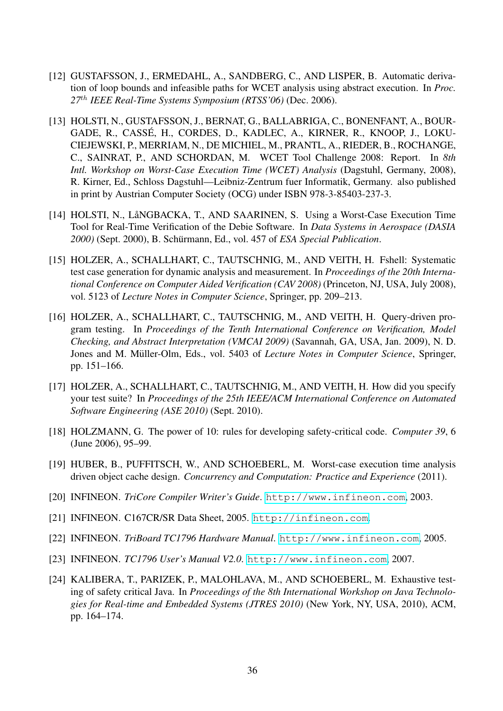- <span id="page-35-10"></span>[12] GUSTAFSSON, J., ERMEDAHL, A., SANDBERG, C., AND LISPER, B. Automatic derivation of loop bounds and infeasible paths for WCET analysis using abstract execution. In *Proc. 27th IEEE Real-Time Systems Symposium (RTSS'06)* (Dec. 2006).
- <span id="page-35-0"></span>[13] HOLSTI, N., GUSTAFSSON, J., BERNAT, G., BALLABRIGA, C., BONENFANT, A., BOUR-GADE, R., CASSE, H., CORDES, D., KADLEC, A., KIRNER, R., KNOOP, J., LOKU- ´ CIEJEWSKI, P., MERRIAM, N., DE MICHIEL, M., PRANTL, A., RIEDER, B., ROCHANGE, C., SAINRAT, P., AND SCHORDAN, M. WCET Tool Challenge 2008: Report. In *8th Intl. Workshop on Worst-Case Execution Time (WCET) Analysis* (Dagstuhl, Germany, 2008), R. Kirner, Ed., Schloss Dagstuhl—Leibniz-Zentrum fuer Informatik, Germany. also published in print by Austrian Computer Society (OCG) under ISBN 978-3-85403-237-3.
- <span id="page-35-1"></span>[14] HOLSTI, N., LåNGBACKA, T., AND SAARINEN, S. Using a Worst-Case Execution Time Tool for Real-Time Verification of the Debie Software. In *Data Systems in Aerospace (DASIA 2000)* (Sept. 2000), B. Schurmann, Ed., vol. 457 of ¨ *ESA Special Publication*.
- <span id="page-35-7"></span>[15] HOLZER, A., SCHALLHART, C., TAUTSCHNIG, M., AND VEITH, H. Fshell: Systematic test case generation for dynamic analysis and measurement. In *Proceedings of the 20th International Conference on Computer Aided Verification (CAV 2008)* (Princeton, NJ, USA, July 2008), vol. 5123 of *Lecture Notes in Computer Science*, Springer, pp. 209–213.
- <span id="page-35-8"></span>[16] HOLZER, A., SCHALLHART, C., TAUTSCHNIG, M., AND VEITH, H. Query-driven program testing. In *Proceedings of the Tenth International Conference on Verification, Model Checking, and Abstract Interpretation (VMCAI 2009)* (Savannah, GA, USA, Jan. 2009), N. D. Jones and M. Müller-Olm, Eds., vol. 5403 of *Lecture Notes in Computer Science*, Springer, pp. 151–166.
- <span id="page-35-9"></span>[17] HOLZER, A., SCHALLHART, C., TAUTSCHNIG, M., AND VEITH, H. How did you specify your test suite? In *Proceedings of the 25th IEEE/ACM International Conference on Automated Software Engineering (ASE 2010)* (Sept. 2010).
- <span id="page-35-12"></span>[18] HOLZMANN, G. The power of 10: rules for developing safety-critical code. *Computer 39*, 6 (June 2006), 95–99.
- <span id="page-35-6"></span>[19] HUBER, B., PUFFITSCH, W., AND SCHOEBERL, M. Worst-case execution time analysis driven object cache design. *Concurrency and Computation: Practice and Experience* (2011).
- <span id="page-35-3"></span>[20] INFINEON. *TriCore Compiler Writer's Guide*. <http://www.infineon.com>, 2003.
- <span id="page-35-5"></span>[21] INFINEON. C167CR/SR Data Sheet, 2005. <http://infineon.com>.
- <span id="page-35-4"></span>[22] INFINEON. *TriBoard TC1796 Hardware Manual*. <http://www.infineon.com>, 2005.
- <span id="page-35-2"></span>[23] INFINEON. *TC1796 User's Manual V2.0*. <http://www.infineon.com>, 2007.
- <span id="page-35-11"></span>[24] KALIBERA, T., PARIZEK, P., MALOHLAVA, M., AND SCHOEBERL, M. Exhaustive testing of safety critical Java. In *Proceedings of the 8th International Workshop on Java Technologies for Real-time and Embedded Systems (JTRES 2010)* (New York, NY, USA, 2010), ACM, pp. 164–174.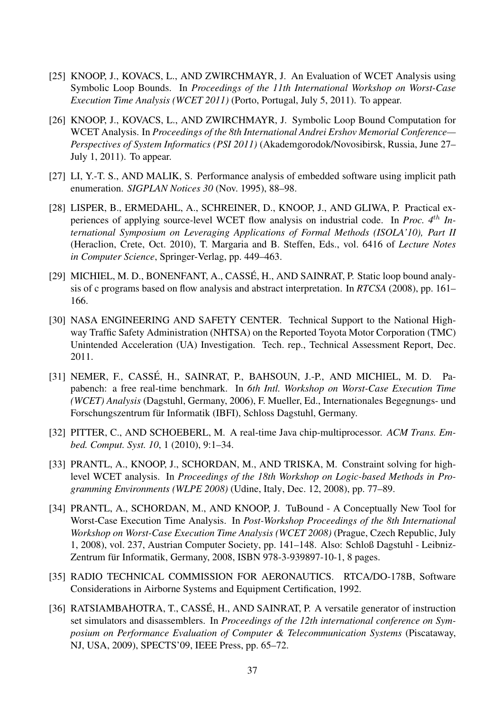- <span id="page-36-10"></span>[25] KNOOP, J., KOVACS, L., AND ZWIRCHMAYR, J. An Evaluation of WCET Analysis using Symbolic Loop Bounds. In *Proceedings of the 11th International Workshop on Worst-Case Execution Time Analysis (WCET 2011)* (Porto, Portugal, July 5, 2011). To appear.
- <span id="page-36-9"></span>[26] KNOOP, J., KOVACS, L., AND ZWIRCHMAYR, J. Symbolic Loop Bound Computation for WCET Analysis. In *Proceedings of the 8th International Andrei Ershov Memorial Conference— Perspectives of System Informatics (PSI 2011)* (Akademgorodok/Novosibirsk, Russia, June 27– July 1, 2011). To appear.
- <span id="page-36-5"></span>[27] LI, Y.-T. S., AND MALIK, S. Performance analysis of embedded software using implicit path enumeration. *SIGPLAN Notices 30* (Nov. 1995), 88–98.
- <span id="page-36-7"></span>[28] LISPER, B., ERMEDAHL, A., SCHREINER, D., KNOOP, J., AND GLIWA, P. Practical experiences of applying source-level WCET flow analysis on industrial code. In *Proc. 4th International Symposium on Leveraging Applications of Formal Methods (ISOLA'10), Part II* (Heraclion, Crete, Oct. 2010), T. Margaria and B. Steffen, Eds., vol. 6416 of *Lecture Notes in Computer Science*, Springer-Verlag, pp. 449–463.
- <span id="page-36-6"></span>[29] MICHIEL, M. D., BONENFANT, A., CASSÉ, H., AND SAINRAT, P. Static loop bound analysis of c programs based on flow analysis and abstract interpretation. In *RTCSA* (2008), pp. 161– 166.
- <span id="page-36-3"></span>[30] NASA ENGINEERING AND SAFETY CENTER. Technical Support to the National Highway Traffic Safety Administration (NHTSA) on the Reported Toyota Motor Corporation (TMC) Unintended Acceleration (UA) Investigation. Tech. rep., Technical Assessment Report, Dec. 2011.
- <span id="page-36-0"></span>[31] NEMER, F., CASSÉ, H., SAINRAT, P., BAHSOUN, J.-P., AND MICHIEL, M. D. Papabench: a free real-time benchmark. In *6th Intl. Workshop on Worst-Case Execution Time (WCET) Analysis* (Dagstuhl, Germany, 2006), F. Mueller, Ed., Internationales Begegnungs- und Forschungszentrum für Informatik (IBFI), Schloss Dagstuhl, Germany.
- <span id="page-36-1"></span>[32] PITTER, C., AND SCHOEBERL, M. A real-time Java chip-multiprocessor. *ACM Trans. Embed. Comput. Syst. 10*, 1 (2010), 9:1–34.
- <span id="page-36-8"></span>[33] PRANTL, A., KNOOP, J., SCHORDAN, M., AND TRISKA, M. Constraint solving for highlevel WCET analysis. In *Proceedings of the 18th Workshop on Logic-based Methods in Programming Environments (WLPE 2008)* (Udine, Italy, Dec. 12, 2008), pp. 77–89.
- <span id="page-36-11"></span>[34] PRANTL, A., SCHORDAN, M., AND KNOOP, J. TuBound - A Conceptually New Tool for Worst-Case Execution Time Analysis. In *Post-Workshop Proceedings of the 8th International Workshop on Worst-Case Execution Time Analysis (WCET 2008)* (Prague, Czech Republic, July 1, 2008), vol. 237, Austrian Computer Society, pp. 141–148. Also: Schloß Dagstuhl - Leibniz-Zentrum für Informatik, Germany, 2008, ISBN 978-3-939897-10-1, 8 pages.
- <span id="page-36-2"></span>[35] RADIO TECHNICAL COMMISSION FOR AERONAUTICS. RTCA/DO-178B, Software Considerations in Airborne Systems and Equipment Certification, 1992.
- <span id="page-36-4"></span>[36] RATSIAMBAHOTRA, T., CASSÉ, H., AND SAINRAT, P. A versatile generator of instruction set simulators and disassemblers. In *Proceedings of the 12th international conference on Symposium on Performance Evaluation of Computer & Telecommunication Systems* (Piscataway, NJ, USA, 2009), SPECTS'09, IEEE Press, pp. 65–72.